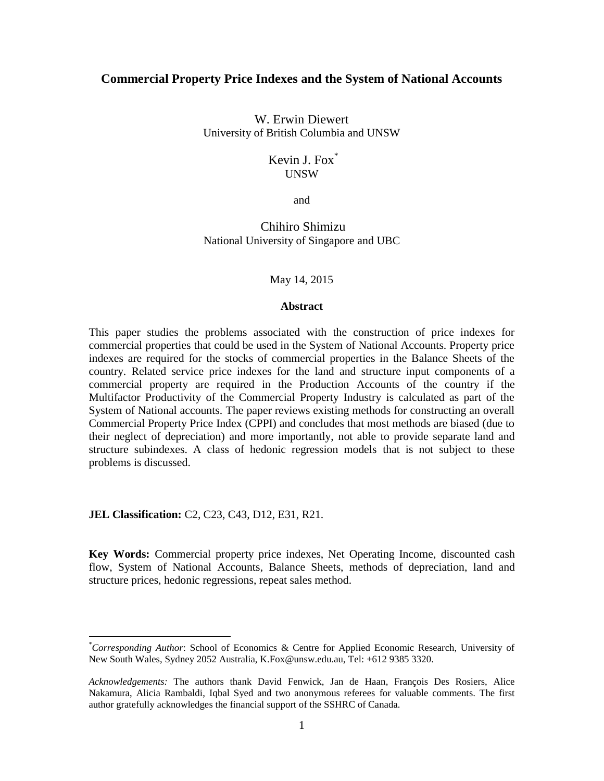## **Commercial Property Price Indexes and the System of National Accounts**

W. Erwin Diewert University of British Columbia and UNSW

# Kevin J. Fox<sup>\*</sup> UNSW

and

# Chihiro Shimizu National University of Singapore and UBC

#### May 14, 2015

#### **Abstract**

This paper studies the problems associated with the construction of price indexes for commercial properties that could be used in the System of National Accounts. Property price indexes are required for the stocks of commercial properties in the Balance Sheets of the country. Related service price indexes for the land and structure input components of a commercial property are required in the Production Accounts of the country if the Multifactor Productivity of the Commercial Property Industry is calculated as part of the System of National accounts. The paper reviews existing methods for constructing an overall Commercial Property Price Index (CPPI) and concludes that most methods are biased (due to their neglect of depreciation) and more importantly, not able to provide separate land and structure subindexes. A class of hedonic regression models that is not subject to these problems is discussed.

**JEL Classification:** C2, C23, C43, D12, E31, R21.

 $\overline{a}$ 

**Key Words:** Commercial property price indexes, Net Operating Income, discounted cash flow, System of National Accounts, Balance Sheets, methods of depreciation, land and structure prices, hedonic regressions, repeat sales method.

<sup>\*</sup>*Corresponding Author*: School of Economics & Centre for Applied Economic Research, University of New South Wales, Sydney 2052 Australia, K.Fox@unsw.edu.au, Tel: +612 9385 3320.

*Acknowledgements:* The authors thank David Fenwick, Jan de Haan, François Des Rosiers, Alice Nakamura, Alicia Rambaldi, Iqbal Syed and two anonymous referees for valuable comments. The first author gratefully acknowledges the financial support of the SSHRC of Canada.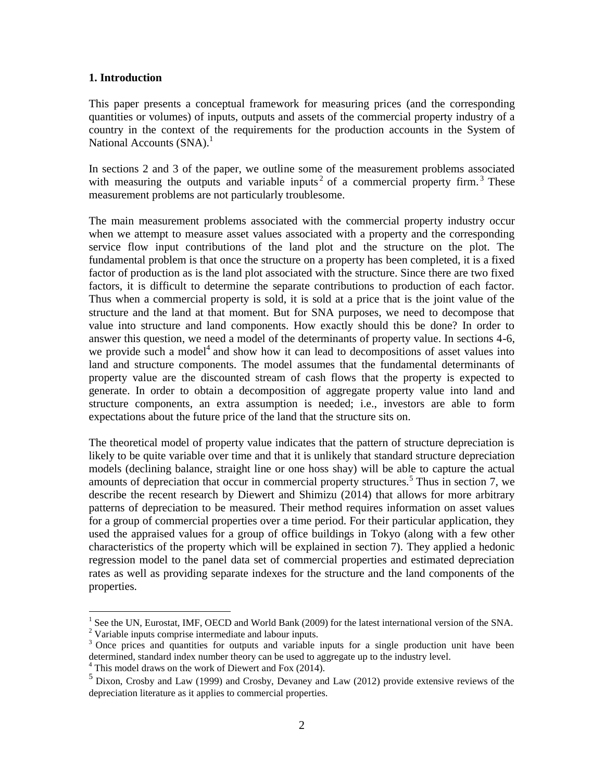#### **1. Introduction**

This paper presents a conceptual framework for measuring prices (and the corresponding quantities or volumes) of inputs, outputs and assets of the commercial property industry of a country in the context of the requirements for the production accounts in the System of National Accounts  $(SNA)^1$ 

In sections 2 and 3 of the paper, we outline some of the measurement problems associated with measuring the outputs and variable inputs<sup>2</sup> of a commercial property firm.<sup>3</sup> These measurement problems are not particularly troublesome.

The main measurement problems associated with the commercial property industry occur when we attempt to measure asset values associated with a property and the corresponding service flow input contributions of the land plot and the structure on the plot. The fundamental problem is that once the structure on a property has been completed, it is a fixed factor of production as is the land plot associated with the structure. Since there are two fixed factors, it is difficult to determine the separate contributions to production of each factor. Thus when a commercial property is sold, it is sold at a price that is the joint value of the structure and the land at that moment. But for SNA purposes, we need to decompose that value into structure and land components. How exactly should this be done? In order to answer this question, we need a model of the determinants of property value. In sections 4-6, we provide such a model<sup>4</sup> and show how it can lead to decompositions of asset values into land and structure components. The model assumes that the fundamental determinants of property value are the discounted stream of cash flows that the property is expected to generate. In order to obtain a decomposition of aggregate property value into land and structure components, an extra assumption is needed; i.e., investors are able to form expectations about the future price of the land that the structure sits on.

The theoretical model of property value indicates that the pattern of structure depreciation is likely to be quite variable over time and that it is unlikely that standard structure depreciation models (declining balance, straight line or one hoss shay) will be able to capture the actual amounts of depreciation that occur in commercial property structures.<sup>5</sup> Thus in section 7, we describe the recent research by Diewert and Shimizu (2014) that allows for more arbitrary patterns of depreciation to be measured. Their method requires information on asset values for a group of commercial properties over a time period. For their particular application, they used the appraised values for a group of office buildings in Tokyo (along with a few other characteristics of the property which will be explained in section 7). They applied a hedonic regression model to the panel data set of commercial properties and estimated depreciation rates as well as providing separate indexes for the structure and the land components of the properties.

<sup>&</sup>lt;sup>1</sup> See the UN, Eurostat, IMF, OECD and World Bank (2009) for the latest international version of the SNA. <sup>2</sup> Variable inputs comprise intermediate and labour inputs.

<sup>&</sup>lt;sup>3</sup> Once prices and quantities for outputs and variable inputs for a single production unit have been

determined, standard index number theory can be used to aggregate up to the industry level.

 $4$  This model draws on the work of Diewert and Fox (2014).

<sup>&</sup>lt;sup>5</sup> Dixon, Crosby and Law (1999) and Crosby, Devaney and Law (2012) provide extensive reviews of the depreciation literature as it applies to commercial properties.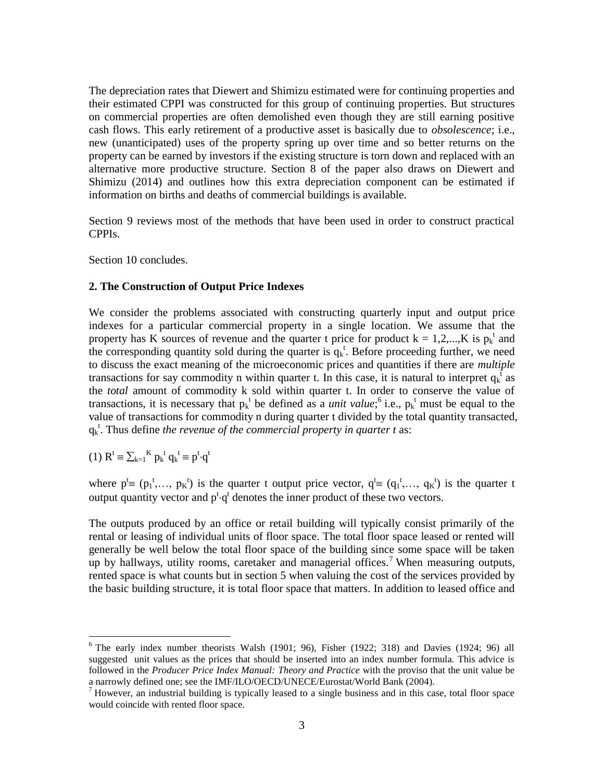The depreciation rates that Diewert and Shimizu estimated were for continuing properties and their estimated CPPI was constructed for this group of continuing properties. But structures on commercial properties are often demolished even though they are still earning positive cash flows. This early retirement of a productive asset is basically due to *obsolescence*; i.e., new (unanticipated) uses of the property spring up over time and so better returns on the property can be earned by investors if the existing structure is torn down and replaced with an alternative more productive structure. Section 8 of the paper also draws on Diewert and Shimizu (2014) and outlines how this extra depreciation component can be estimated if information on births and deaths of commercial buildings is available.

Section 9 reviews most of the methods that have been used in order to construct practical CPPIs.

Section 10 concludes.

### **2. The Construction of Output Price Indexes**

We consider the problems associated with constructing quarterly input and output price indexes for a particular commercial property in a single location. We assume that the property has K sources of revenue and the quarter t price for product  $k = 1, 2, ..., K$  is  $p_k^t$  and the corresponding quantity sold during the quarter is  $q_k$ <sup>t</sup>. Before proceeding further, we need to discuss the exact meaning of the microeconomic prices and quantities if there are *multiple* transactions for say commodity n within quarter t. In this case, it is natural to interpret  $q_k^{\hat{t}}$  as the *total* amount of commodity k sold within quarter t. In order to conserve the value of transactions, it is necessary that  $p_k^t$  be defined as a *unit value*; <sup>6</sup> i.e.,  $p_k^t$  must be equal to the value of transactions for commodity n during quarter t divided by the total quantity transacted, qk t . Thus define *the revenue of the commercial property in quarter t* as:

(1)  $R^t \equiv \sum_{k=1}^K p_k^t q_k^t \equiv p^t \cdot q^t$ 

 $\overline{a}$ 

where  $p^t \equiv (p_1^t, ..., p_K^t)$  is the quarter t output price vector,  $q^t \equiv (q_1^t, ..., q_K^t)$  is the quarter t output quantity vector and  $p^t \cdot q^t$  denotes the inner product of these two vectors.

The outputs produced by an office or retail building will typically consist primarily of the rental or leasing of individual units of floor space. The total floor space leased or rented will generally be well below the total floor space of the building since some space will be taken up by hallways, utility rooms, caretaker and managerial offices.<sup>7</sup> When measuring outputs, rented space is what counts but in section 5 when valuing the cost of the services provided by the basic building structure, it is total floor space that matters. In addition to leased office and

<sup>&</sup>lt;sup>6</sup> The early index number theorists Walsh (1901; 96), Fisher (1922; 318) and Davies (1924; 96) all suggested unit values as the prices that should be inserted into an index number formula. This advice is followed in the *Producer Price Index Manual: Theory and Practice* with the proviso that the unit value be a narrowly defined one; see the IMF/ILO/OECD/UNECE/Eurostat/World Bank (2004).

<sup>&</sup>lt;sup>7</sup> However, an industrial building is typically leased to a single business and in this case, total floor space would coincide with rented floor space.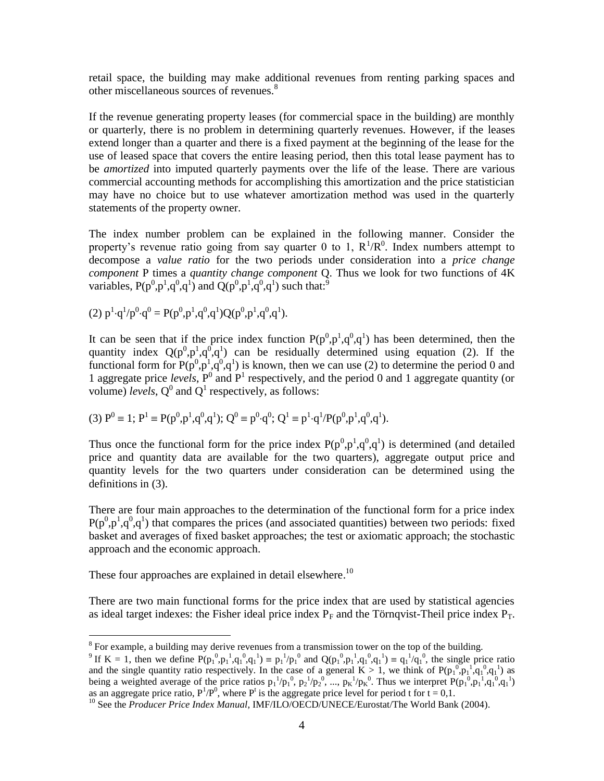retail space, the building may make additional revenues from renting parking spaces and other miscellaneous sources of revenues.<sup>8</sup>

If the revenue generating property leases (for commercial space in the building) are monthly or quarterly, there is no problem in determining quarterly revenues. However, if the leases extend longer than a quarter and there is a fixed payment at the beginning of the lease for the use of leased space that covers the entire leasing period, then this total lease payment has to be *amortized* into imputed quarterly payments over the life of the lease. There are various commercial accounting methods for accomplishing this amortization and the price statistician may have no choice but to use whatever amortization method was used in the quarterly statements of the property owner.

The index number problem can be explained in the following manner. Consider the property's revenue ratio going from say quarter 0 to 1,  $R^1/R^0$ . Index numbers attempt to decompose a *value ratio* for the two periods under consideration into a *price change component* P times a *quantity change component* Q. Thus we look for two functions of 4K variables,  $P(p^0, p^1, q^0, q^1)$  and  $Q(p^0, p^1, q^0, q^1)$  such that:<sup>9</sup>

(2) 
$$
p^1 \cdot q^1/p^0 \cdot q^0 = P(p^0, p^1, q^0, q^1)Q(p^0, p^1, q^0, q^1).
$$

It can be seen that if the price index function  $P(p^0, p^1, q^0, q^1)$  has been determined, then the quantity index  $Q(p^0, p^1, q^0, q^1)$  can be residually determined using equation (2). If the functional form for  $P(p^0, p^1, q^0, q^1)$  is known, then we can use (2) to determine the period 0 and 1 aggregate price *levels*,  $\mathbf{P}^0$  and  $\mathbf{P}^1$  respectively, and the period 0 and 1 aggregate quantity (or volume) *levels*,  $Q^0$  and  $Q^1$  respectively, as follows:

(3) 
$$
P^0 \equiv 1
$$
;  $P^1 \equiv P(p^0, p^1, q^0, q^1)$ ;  $Q^0 \equiv p^0 \cdot q^0$ ;  $Q^1 \equiv p^1 \cdot q^1 / P(p^0, p^1, q^0, q^1)$ .

Thus once the functional form for the price index  $P(p^0, p^1, q^0, q^1)$  is determined (and detailed price and quantity data are available for the two quarters), aggregate output price and quantity levels for the two quarters under consideration can be determined using the definitions in (3).

There are four main approaches to the determination of the functional form for a price index  $P(p^0, p^1, q^0, q^1)$  that compares the prices (and associated quantities) between two periods: fixed basket and averages of fixed basket approaches; the test or axiomatic approach; the stochastic approach and the economic approach.

These four approaches are explained in detail elsewhere.<sup>10</sup>

There are two main functional forms for the price index that are used by statistical agencies as ideal target indexes: the Fisher ideal price index  $P_F$  and the Törnqvist-Theil price index  $P_T$ .

<sup>&</sup>lt;sup>8</sup> For example, a building may derive revenues from a transmission tower on the top of the building.

<sup>&</sup>lt;sup>9</sup> If K = 1, then we define  $P(p_1^0, p_1^1, q_1^0, q_1^1) \equiv p_1^1/p_1^0$  and  $Q(p_1^0, p_1^1, q_1^0, q_1^1) \equiv q_1^1/q_1^0$ , the single price ratio and the single quantity ratio respectively. In the case of a general  $K > 1$ , we think of  $P(p_1^0, p_1^1, q_1^0, q_1^1)$  as being a weighted average of the price ratios  $p_1^{-1}/p_1^0$ ,  $p_2^{-1}/p_2^0$ , ...,  $p_K^{-1}/p_K^0$ . Thus we interpret  $P(p_1^0, p_1^1, q_1^0, q_1^1)$ as an aggregate price ratio,  $P^{1}/P^{0}$ , where P<sup>t</sup> is the aggregate price level for period t for t = 0,1.

<sup>&</sup>lt;sup>10</sup> See the *Producer Price Index Manual*, IMF/ILO/OECD/UNECE/Eurostat/The World Bank (2004).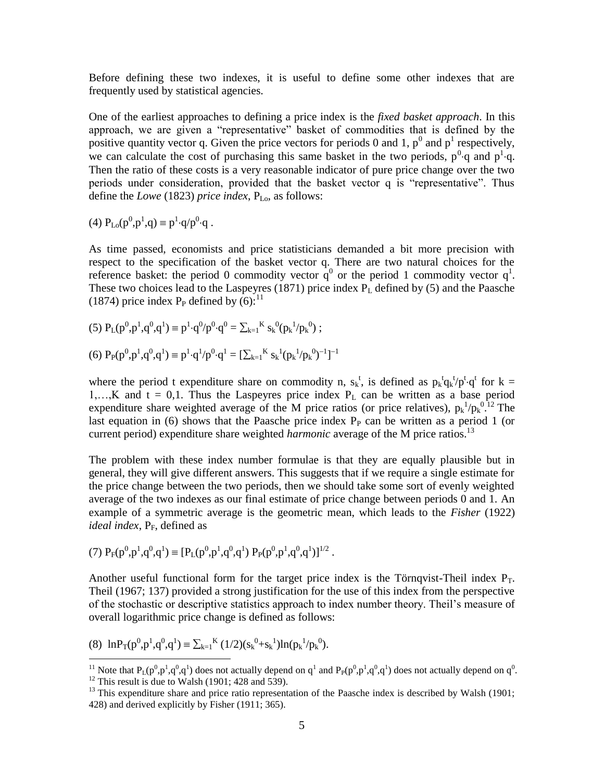Before defining these two indexes, it is useful to define some other indexes that are frequently used by statistical agencies.

One of the earliest approaches to defining a price index is the *fixed basket approach*. In this approach, we are given a "representative" basket of commodities that is defined by the positive quantity vector q. Given the price vectors for periods 0 and 1,  $p^0$  and  $p^1$  respectively, we can calculate the cost of purchasing this same basket in the two periods,  $p^{0}$  q and  $p^{1}$  q. Then the ratio of these costs is a very reasonable indicator of pure price change over the two periods under consideration, provided that the basket vector q is "representative". Thus define the *Lowe* (1823) *price index*,  $P_{Lo}$ , as follows:

(4) 
$$
P_{Lo}(p^0, p^1, q) \equiv p^1 \cdot q/p^0 \cdot q
$$
.

As time passed, economists and price statisticians demanded a bit more precision with respect to the specification of the basket vector q. There are two natural choices for the reference basket: the period 0 commodity vector  $q^0$  or the period 1 commodity vector  $q^1$ . These two choices lead to the Laspeyres (1871) price index  $P<sub>L</sub>$  defined by (5) and the Paasche (1874) price index  $P_P$  defined by (6):<sup>11</sup>

(5) 
$$
P_L(p^0, p^1, q^0, q^1) \equiv p^1 \cdot q^0 / p^0 \cdot q^0 = \sum_{k=1}^K s_k^0 (p_k^1 / p_k^0);
$$
  
(6)  $P_P(p^0, p^1, q^0, q^1) \equiv p^1 \cdot q^1 / p^0 \cdot q^1 = [\sum_{k=1}^K s_k^1 (p_k^1 / p_k^0)^{-1}]^{-1}$ 

where the period t expenditure share on commodity n,  $s_k^t$ , is defined as  $p_k^t q_k^t / p^t \cdot q^t$  for  $k =$ 1,..., K and  $t = 0,1$ . Thus the Laspeyres price index  $P<sub>L</sub>$  can be written as a base period expenditure share weighted average of the M price ratios (or price relatives),  $p_k^1/p_k^{0.12}$  The last equation in (6) shows that the Paasche price index  $P<sub>P</sub>$  can be written as a period 1 (or current period) expenditure share weighted *harmonic* average of the M price ratios.<sup>13</sup>

The problem with these index number formulae is that they are equally plausible but in general, they will give different answers. This suggests that if we require a single estimate for the price change between the two periods, then we should take some sort of evenly weighted average of the two indexes as our final estimate of price change between periods 0 and 1. An example of a symmetric average is the geometric mean, which leads to the *Fisher* (1922) *ideal index*, P<sub>F</sub>, defined as

$$
(7) \; P_F(p^0, p^1, q^0, q^1) \equiv [P_L(p^0, p^1, q^0, q^1) \; P_P(p^0, p^1, q^0, q^1)]^{1/2} \; .
$$

Another useful functional form for the target price index is the Törnqvist-Theil index  $P_T$ . Theil (1967; 137) provided a strong justification for the use of this index from the perspective of the stochastic or descriptive statistics approach to index number theory. Theil's measure of overall logarithmic price change is defined as follows:

(8)  $\ln P_T(p^0, p^1, q^0, q^1) \equiv \sum_{k=1}^K (1/2)(s_k^0 + s_k^1) \ln(p_k^1/p_k^0)$ .

<sup>&</sup>lt;sup>11</sup> Note that  $P_L(p^0, p^1, q^0, q^1)$  does not actually depend on  $q^1$  and  $P_P(p^0, p^1, q^0, q^1)$  does not actually depend on  $q^0$ .  $12$  This result is due to Walsh (1901; 428 and 539).

 $13$  This expenditure share and price ratio representation of the Paasche index is described by Walsh (1901; 428) and derived explicitly by Fisher (1911; 365).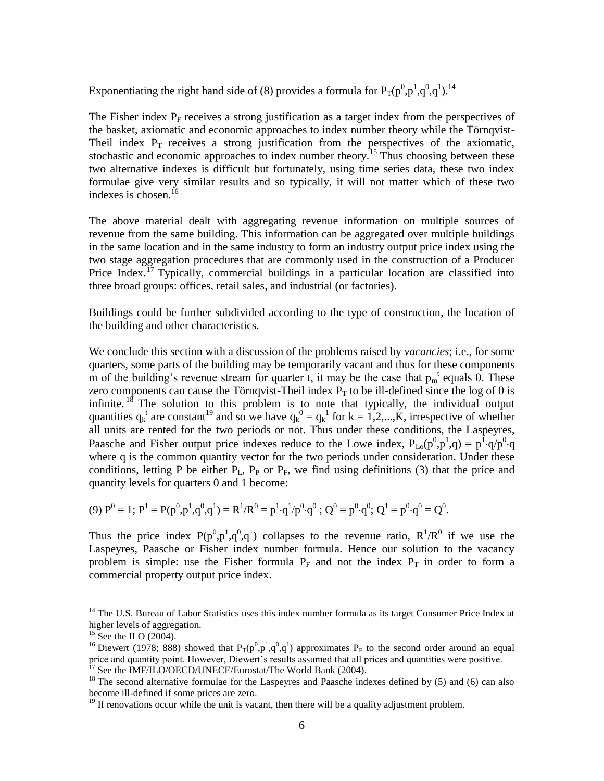Exponentiating the right hand side of (8) provides a formula for  $P_T(p^0, p^1, q^0, q^1)$ .<sup>14</sup>

The Fisher index  $P_F$  receives a strong justification as a target index from the perspectives of the basket, axiomatic and economic approaches to index number theory while the Törnqvist-Theil index  $P_T$  receives a strong justification from the perspectives of the axiomatic, stochastic and economic approaches to index number theory.<sup>15</sup> Thus choosing between these two alternative indexes is difficult but fortunately, using time series data, these two index formulae give very similar results and so typically, it will not matter which of these two indexes is chosen.<sup>16</sup>

The above material dealt with aggregating revenue information on multiple sources of revenue from the same building. This information can be aggregated over multiple buildings in the same location and in the same industry to form an industry output price index using the two stage aggregation procedures that are commonly used in the construction of a Producer Price Index.<sup>17</sup> Typically, commercial buildings in a particular location are classified into three broad groups: offices, retail sales, and industrial (or factories).

Buildings could be further subdivided according to the type of construction, the location of the building and other characteristics.

We conclude this section with a discussion of the problems raised by *vacancies*; i.e., for some quarters, some parts of the building may be temporarily vacant and thus for these components m of the building's revenue stream for quarter t, it may be the case that  $p_m$ <sup>t</sup> equals 0. These zero components can cause the Törnqvist-Theil index  $P_T$  to be ill-defined since the log of 0 is infinite.  $18$  The solution to this problem is to note that typically, the individual output quantities  $q_k^t$  are constant<sup>19</sup> and so we have  $q_k^0 = q_k^1$  for  $k = 1, 2, ..., K$ , irrespective of whether all units are rented for the two periods or not. Thus under these conditions, the Laspeyres, Paasche and Fisher output price indexes reduce to the Lowe index,  $P_{Lo}(p^0, p^1, q) \equiv p^1 \cdot q/p^0 \cdot q$ where q is the common quantity vector for the two periods under consideration. Under these conditions, letting P be either  $P_L$ ,  $P_P$  or  $P_F$ , we find using definitions (3) that the price and quantity levels for quarters 0 and 1 become:

$$
(9) P0 \equiv 1; P1 \equiv P(p0, p1, q0, q1) = R1/R0 = p1 \cdot q1/p0 \cdot q0; Q0 \equiv p0 \cdot q0; Q1 \equiv p0 \cdot q0 = Q0.
$$

Thus the price index  $P(p^0, p^1, q^0, q^1)$  collapses to the revenue ratio,  $R^1/R^0$  if we use the Laspeyres, Paasche or Fisher index number formula. Hence our solution to the vacancy problem is simple: use the Fisher formula  $P_F$  and not the index  $P_T$  in order to form a commercial property output price index.

<sup>&</sup>lt;sup>14</sup> The U.S. Bureau of Labor Statistics uses this index number formula as its target Consumer Price Index at higher levels of aggregation.

 $15$  See the ILO (2004).

<sup>&</sup>lt;sup>16</sup> Diewert (1978; 888) showed that  $P_T(p^0, p^1, q^0, q^1)$  approximates  $P_F$  to the second order around an equal price and quantity point. However, Diewert's results assumed that all prices and quantities were positive. <sup>17</sup> See the IMF/ILO/OECD/UNECE/Eurostat/The World Bank (2004).

 $18$  The second alternative formulae for the Laspeyres and Paasche indexes defined by (5) and (6) can also become ill-defined if some prices are zero.

<sup>&</sup>lt;sup>19</sup> If renovations occur while the unit is vacant, then there will be a quality adjustment problem.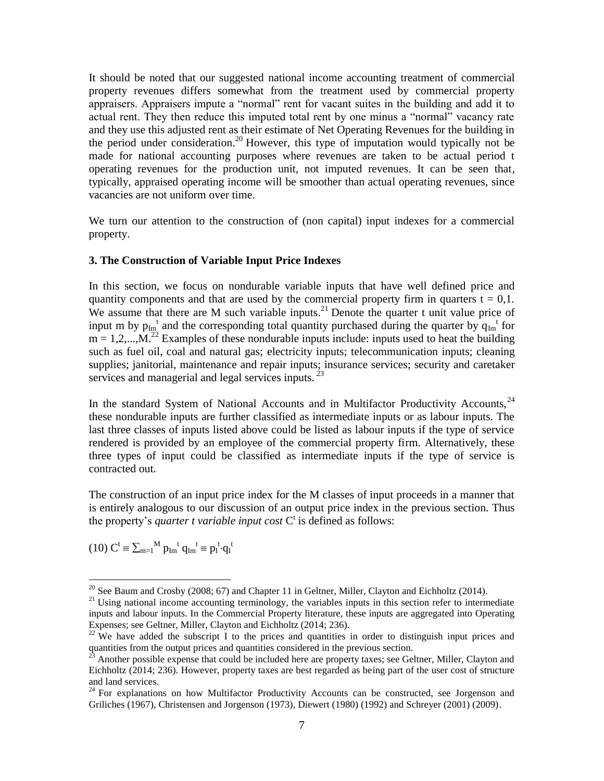It should be noted that our suggested national income accounting treatment of commercial property revenues differs somewhat from the treatment used by commercial property appraisers. Appraisers impute a "normal" rent for vacant suites in the building and add it to actual rent. They then reduce this imputed total rent by one minus a "normal" vacancy rate and they use this adjusted rent as their estimate of Net Operating Revenues for the building in the period under consideration.<sup>20</sup> However, this type of imputation would typically not be made for national accounting purposes where revenues are taken to be actual period t operating revenues for the production unit, not imputed revenues. It can be seen that, typically, appraised operating income will be smoother than actual operating revenues, since vacancies are not uniform over time.

We turn our attention to the construction of (non capital) input indexes for a commercial property.

### **3. The Construction of Variable Input Price Indexes**

In this section, we focus on nondurable variable inputs that have well defined price and quantity components and that are used by the commercial property firm in quarters  $t = 0.1$ . We assume that there are M such variable inputs.<sup>21</sup> Denote the quarter t unit value price of input m by  $p_{Im}^t$  and the corresponding total quantity purchased during the quarter by  $q_{Im}^t$  for  $m = 1, 2, \ldots, M$ <sup>22</sup> Examples of these nondurable inputs include: inputs used to heat the building such as fuel oil, coal and natural gas; electricity inputs; telecommunication inputs; cleaning supplies; janitorial, maintenance and repair inputs; insurance services; security and caretaker services and managerial and legal services inputs. <sup>23</sup>

In the standard System of National Accounts and in Multifactor Productivity Accounts,  $24$ these nondurable inputs are further classified as intermediate inputs or as labour inputs. The last three classes of inputs listed above could be listed as labour inputs if the type of service rendered is provided by an employee of the commercial property firm. Alternatively, these three types of input could be classified as intermediate inputs if the type of service is contracted out.

The construction of an input price index for the M classes of input proceeds in a manner that is entirely analogous to our discussion of an output price index in the previous section. Thus the property's *quarter t variable input cost* C<sup>t</sup> is defined as follows:

(10)  $C^t \equiv \sum_{m=1}^{M} p_{Im}^t q_{Im}^t \equiv p_I^t \cdot q_I^t$ 

<sup>&</sup>lt;sup>20</sup> See Baum and Crosby (2008; 67) and Chapter 11 in Geltner, Miller, Clayton and Eichholtz (2014).

 $21$  Using national income accounting terminology, the variables inputs in this section refer to intermediate inputs and labour inputs. In the Commercial Property literature, these inputs are aggregated into Operating Expenses; see Geltner, Miller, Clayton and Eichholtz (2014; 236).

<sup>&</sup>lt;sup>22</sup> We have added the subscript I to the prices and quantities in order to distinguish input prices and quantities from the output prices and quantities considered in the previous section.

<sup>23</sup> Another possible expense that could be included here are property taxes; see Geltner, Miller, Clayton and Eichholtz (2014; 236). However, property taxes are best regarded as being part of the user cost of structure and land services.

<sup>&</sup>lt;sup>24</sup> For explanations on how Multifactor Productivity Accounts can be constructed, see Jorgenson and Griliches (1967), Christensen and Jorgenson (1973), Diewert (1980) (1992) and Schreyer (2001) (2009).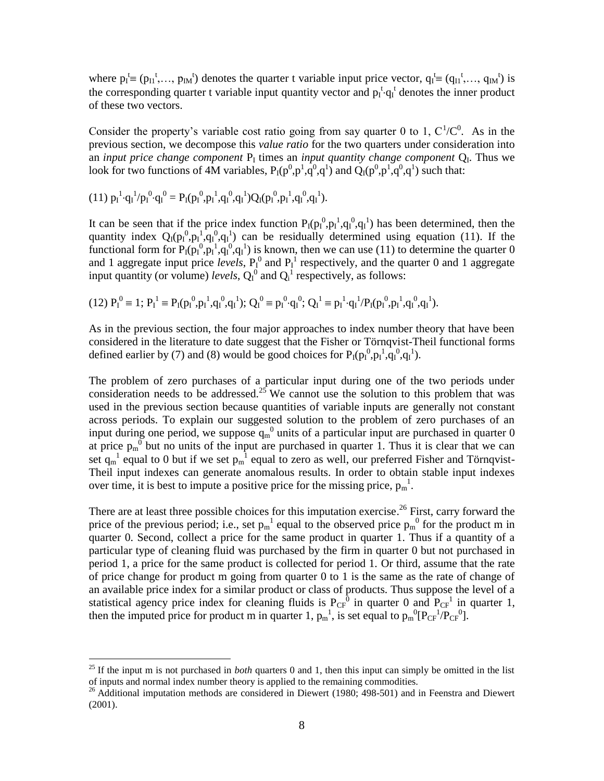where  $p_1^t \equiv (p_{11}^t, \ldots, p_{1M}^t)$  denotes the quarter t variable input price vector,  $q_1^t \equiv (q_{11}^t, \ldots, q_{1M}^t)$  is the corresponding quarter t variable input quantity vector and  $p_l^t \cdot q_l^t$  denotes the inner product of these two vectors.

Consider the property's variable cost ratio going from say quarter 0 to 1,  $C^{1}/C^{0}$ . As in the previous section, we decompose this *value ratio* for the two quarters under consideration into an *input price change component*  $P<sub>I</sub>$  times an *input quantity change component*  $Q<sub>I</sub>$ . Thus we look for two functions of 4M variables,  $P_I(p^0, p^1, q^0, q^1)$  and  $Q_I(p^0, p^1, q^0, q^1)$  such that:

$$
(11) p_I^{-1} \cdot q_I^{-1} / p_I^{-0} \cdot q_I^{-0} = P_I(p_I^{-0}, p_I^{-1}, q_I^{-0}, q_I^{-1}) Q_I(p_I^{-0}, p_I^{-1}, q_I^{-0}, q_I^{-1}).
$$

 $\overline{a}$ 

It can be seen that if the price index function  $P_I(p_I^0, p_I^1, q_I^0, q_I^1)$  has been determined, then the quantity index  $Q_I(p_I^0, p_I^1, q_I^0, q_I^1)$  can be residually determined using equation (11). If the functional form for  $P_I(p_I^0, p_I^1, q_I^0, q_I^1)$  is known, then we can use (11) to determine the quarter 0 and 1 aggregate input price levels,  $P_I^0$  and  $P_I^1$  respectively, and the quarter 0 and 1 aggregate input quantity (or volume) *levels*,  $Q_1^0$  and  $Q_1^1$  respectively, as follows:

$$
(12) P_I^0 \equiv 1; P_I^1 \equiv P_I(p_I^0, p_I^1, q_I^0, q_I^1); Q_I^0 \equiv p_I^0 \cdot q_I^0; Q_I^1 \equiv p_I^1 \cdot q_I^1 / P_I(p_I^0, p_I^1, q_I^0, q_I^1).
$$

As in the previous section, the four major approaches to index number theory that have been considered in the literature to date suggest that the Fisher or Törnqvist-Theil functional forms defined earlier by (7) and (8) would be good choices for  $P_I(p_I^0, p_I^1, q_I^0, q_I^1)$ .

The problem of zero purchases of a particular input during one of the two periods under consideration needs to be addressed.<sup>25</sup> We cannot use the solution to this problem that was used in the previous section because quantities of variable inputs are generally not constant across periods. To explain our suggested solution to the problem of zero purchases of an input during one period, we suppose  $q_m^0$  units of a particular input are purchased in quarter 0 at price  $p_m^0$  but no units of the input are purchased in quarter 1. Thus it is clear that we can set  $q_m^{-1}$  equal to 0 but if we set  $p_m^{-1}$  equal to zero as well, our preferred Fisher and Törnqvist-Theil input indexes can generate anomalous results. In order to obtain stable input indexes over time, it is best to impute a positive price for the missing price,  $p_m^{\,1}$ .

There are at least three possible choices for this imputation exercise.<sup>26</sup> First, carry forward the price of the previous period; i.e., set  $p_m^{-1}$  equal to the observed price  $p_m^{-0}$  for the product m in quarter 0. Second, collect a price for the same product in quarter 1. Thus if a quantity of a particular type of cleaning fluid was purchased by the firm in quarter 0 but not purchased in period 1, a price for the same product is collected for period 1. Or third, assume that the rate of price change for product m going from quarter 0 to 1 is the same as the rate of change of an available price index for a similar product or class of products. Thus suppose the level of a statistical agency price index for cleaning fluids is  $P_{CF}^{0}$  in quarter 0 and  $P_{CF}^{1}$  in quarter 1, then the imputed price for product m in quarter 1,  $p_m^{-1}$ , is set equal to  $p_m^{-0}[P_{CF}^{-1}/P_{CF}^{-0}]$ .

 $^{25}$  If the input m is not purchased in *both* quarters 0 and 1, then this input can simply be omitted in the list of inputs and normal index number theory is applied to the remaining commodities.

<sup>&</sup>lt;sup>26</sup> Additional imputation methods are considered in Diewert (1980; 498-501) and in Feenstra and Diewert (2001).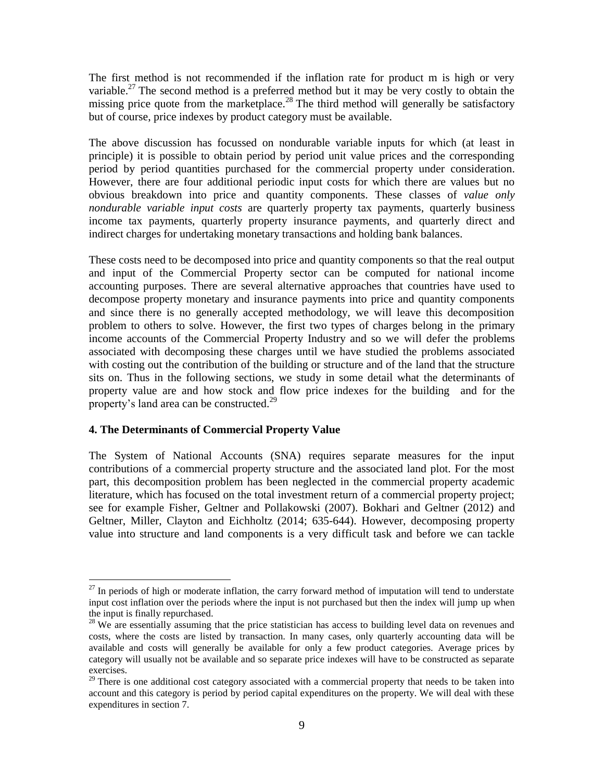The first method is not recommended if the inflation rate for product m is high or very variable.<sup>27</sup> The second method is a preferred method but it may be very costly to obtain the missing price quote from the marketplace.<sup>28</sup> The third method will generally be satisfactory but of course, price indexes by product category must be available.

The above discussion has focussed on nondurable variable inputs for which (at least in principle) it is possible to obtain period by period unit value prices and the corresponding period by period quantities purchased for the commercial property under consideration. However, there are four additional periodic input costs for which there are values but no obvious breakdown into price and quantity components. These classes of *value only nondurable variable input costs* are quarterly property tax payments, quarterly business income tax payments, quarterly property insurance payments, and quarterly direct and indirect charges for undertaking monetary transactions and holding bank balances.

These costs need to be decomposed into price and quantity components so that the real output and input of the Commercial Property sector can be computed for national income accounting purposes. There are several alternative approaches that countries have used to decompose property monetary and insurance payments into price and quantity components and since there is no generally accepted methodology, we will leave this decomposition problem to others to solve. However, the first two types of charges belong in the primary income accounts of the Commercial Property Industry and so we will defer the problems associated with decomposing these charges until we have studied the problems associated with costing out the contribution of the building or structure and of the land that the structure sits on. Thus in the following sections, we study in some detail what the determinants of property value are and how stock and flow price indexes for the building and for the property's land area can be constructed. $29$ 

## **4. The Determinants of Commercial Property Value**

 $\overline{a}$ 

The System of National Accounts (SNA) requires separate measures for the input contributions of a commercial property structure and the associated land plot. For the most part, this decomposition problem has been neglected in the commercial property academic literature, which has focused on the total investment return of a commercial property project; see for example Fisher, Geltner and Pollakowski (2007). Bokhari and Geltner (2012) and Geltner, Miller, Clayton and Eichholtz (2014; 635-644). However, decomposing property value into structure and land components is a very difficult task and before we can tackle

 $27$  In periods of high or moderate inflation, the carry forward method of imputation will tend to understate input cost inflation over the periods where the input is not purchased but then the index will jump up when the input is finally repurchased.

<sup>&</sup>lt;sup>28</sup> We are essentially assuming that the price statistician has access to building level data on revenues and costs, where the costs are listed by transaction. In many cases, only quarterly accounting data will be available and costs will generally be available for only a few product categories. Average prices by category will usually not be available and so separate price indexes will have to be constructed as separate exercises.

<sup>&</sup>lt;sup>29</sup> There is one additional cost category associated with a commercial property that needs to be taken into account and this category is period by period capital expenditures on the property. We will deal with these expenditures in section 7.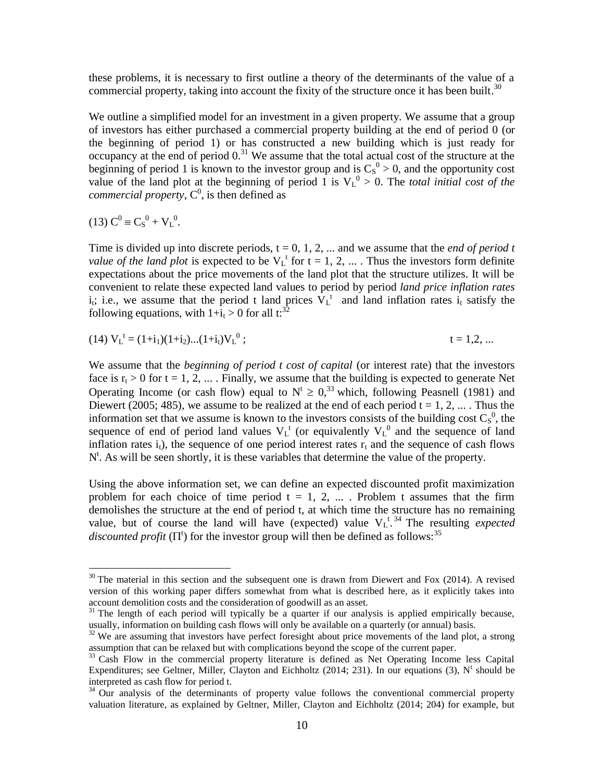these problems, it is necessary to first outline a theory of the determinants of the value of a commercial property, taking into account the fixity of the structure once it has been built.<sup>30</sup>

We outline a simplified model for an investment in a given property. We assume that a group of investors has either purchased a commercial property building at the end of period 0 (or the beginning of period 1) or has constructed a new building which is just ready for occupancy at the end of period 0.<sup>31</sup> We assume that the total actual cost of the structure at the beginning of period 1 is known to the investor group and is  $C_S^0 > 0$ , and the opportunity cost value of the land plot at the beginning of period 1 is  $V_L^0 > 0$ . The *total initial cost of the commercial property*,  $C^0$ , is then defined as

$$
(13) C^0 = C_S^0 + V_L^0.
$$

 $\overline{a}$ 

Time is divided up into discrete periods,  $t = 0, 1, 2, ...$  and we assume that the *end of period t value of the land plot* is expected to be  $V_L^t$  for  $t = 1, 2, ...$ . Thus the investors form definite expectations about the price movements of the land plot that the structure utilizes. It will be convenient to relate these expected land values to period by period *land price inflation rates*  $i_t$ ; i.e., we assume that the period t land prices  $V_L^t$  and land inflation rates  $i_t$  satisfy the following equations, with  $1+i<sub>t</sub> > 0$  for all t:<sup>32</sup>

(14) 
$$
V_L^t = (1+i_1)(1+i_2)...(1+i_t)V_L^0;
$$
  $t = 1,2,...$ 

We assume that the *beginning of period t cost of capital* (or interest rate) that the investors face is  $r_t > 0$  for  $t = 1, 2, ...$ . Finally, we assume that the building is expected to generate Net Operating Income (or cash flow) equal to  $N^t \ge 0$ ,<sup>33</sup> which, following Peasnell (1981) and Diewert (2005; 485), we assume to be realized at the end of each period  $t = 1, 2, ...$ . Thus the information set that we assume is known to the investors consists of the building cost  $C_S^0$ , the sequence of end of period land values  $V_L^t$  (or equivalently  $V_L^0$  and the sequence of land inflation rates i<sub>t</sub>), the sequence of one period interest rates  $r_t$  and the sequence of cash flows  $N<sup>t</sup>$ . As will be seen shortly, it is these variables that determine the value of the property.

Using the above information set, we can define an expected discounted profit maximization problem for each choice of time period  $t = 1, 2, ...$ . Problem t assumes that the firm demolishes the structure at the end of period t, at which time the structure has no remaining value, but of course the land will have (expected) value  $V_L^{t, 34}$  The resulting *expected discounted profit* ( $\Pi^t$ ) for the investor group will then be defined as follows:<sup>35</sup>

 $30$  The material in this section and the subsequent one is drawn from Diewert and Fox (2014). A revised version of this working paper differs somewhat from what is described here, as it explicitly takes into account demolition costs and the consideration of goodwill as an asset.

 $31$  The length of each period will typically be a quarter if our analysis is applied empirically because, usually, information on building cash flows will only be available on a quarterly (or annual) basis.

 $32$  We are assuming that investors have perfect foresight about price movements of the land plot, a strong assumption that can be relaxed but with complications beyond the scope of the current paper.

<sup>&</sup>lt;sup>33</sup> Cash Flow in the commercial property literature is defined as Net Operating Income less Capital Expenditures; see Geltner, Miller, Clayton and Eichholtz (2014; 231). In our equations (3),  $N^t$  should be interpreted as cash flow for period t.

 $34$  Our analysis of the determinants of property value follows the conventional commercial property valuation literature, as explained by Geltner, Miller, Clayton and Eichholtz (2014; 204) for example, but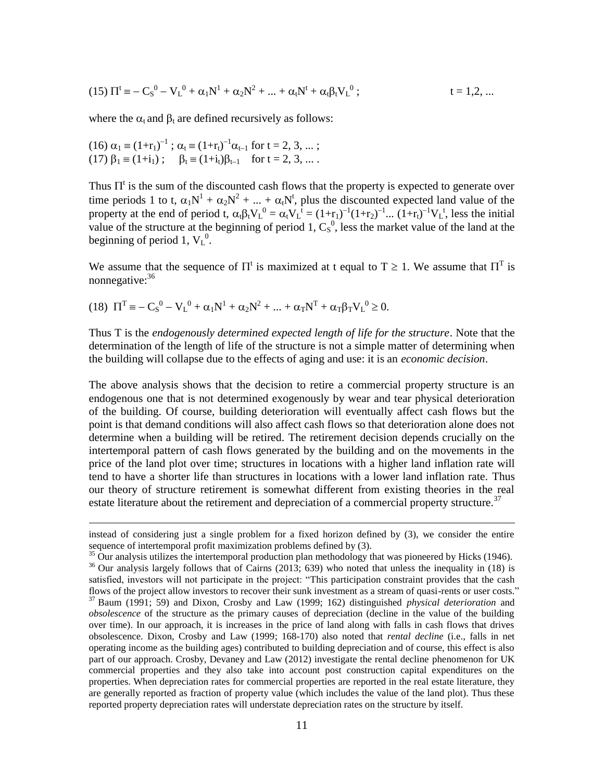(15) 
$$
\Pi^t = -C_S^0 - V_L^0 + \alpha_1 N^1 + \alpha_2 N^2 + ... + \alpha_t N^t + \alpha_t \beta_t V_L^0
$$
;  $t = 1, 2, ...$ 

where the  $\alpha_t$  and  $\beta_t$  are defined recursively as follows:

(16) 
$$
\alpha_1 = (1+r_1)^{-1}
$$
;  $\alpha_t = (1+r_t)^{-1}\alpha_{t-1}$  for  $t = 2, 3, ...$ ;  
(17)  $\beta_1 = (1+i_1)$ ;  $\beta_t = (1+i_t)\beta_{t-1}$  for  $t = 2, 3, ...$ 

 $\overline{a}$ 

Thus  $\Pi^t$  is the sum of the discounted cash flows that the property is expected to generate over time periods 1 to t,  $\alpha_1 N^1 + \alpha_2 N^2 + ... + \alpha_t N^t$ , plus the discounted expected land value of the property at the end of period t,  $\alpha_t \beta_t V_L^0 = \alpha_t V_L^t = (1+r_1)^{-1} (1+r_2)^{-1} ... (1+r_t)^{-1} V_L^t$ , less the initial value of the structure at the beginning of period 1,  $C_S^0$ , less the market value of the land at the beginning of period 1,  $V_L^0$ .

We assume that the sequence of  $\Pi^t$  is maximized at t equal to  $T \geq 1$ . We assume that  $\Pi^T$  is nonnegative: $36$ 

(18) 
$$
\Pi^T = -C_S{}^0 - V_L{}^0 + \alpha_1 N^1 + \alpha_2 N^2 + ... + \alpha_T N^T + \alpha_T \beta_T V_L{}^0 \ge 0.
$$

Thus T is the *endogenously determined expected length of life for the structure*. Note that the determination of the length of life of the structure is not a simple matter of determining when the building will collapse due to the effects of aging and use: it is an *economic decision*.

The above analysis shows that the decision to retire a commercial property structure is an endogenous one that is not determined exogenously by wear and tear physical deterioration of the building. Of course, building deterioration will eventually affect cash flows but the point is that demand conditions will also affect cash flows so that deterioration alone does not determine when a building will be retired. The retirement decision depends crucially on the intertemporal pattern of cash flows generated by the building and on the movements in the price of the land plot over time; structures in locations with a higher land inflation rate will tend to have a shorter life than structures in locations with a lower land inflation rate. Thus our theory of structure retirement is somewhat different from existing theories in the real estate literature about the retirement and depreciation of a commercial property structure.<sup>37</sup>

instead of considering just a single problem for a fixed horizon defined by (3), we consider the entire sequence of intertemporal profit maximization problems defined by (3).

 $35$  Our analysis utilizes the intertemporal production plan methodology that was pioneered by Hicks (1946).  $36$  Our analysis largely follows that of Cairns (2013; 639) who noted that unless the inequality in (18) is

satisfied, investors will not participate in the project: "This participation constraint provides that the cash flows of the project allow investors to recover their sunk investment as a stream of quasi-rents or user costs."

<sup>37</sup> Baum (1991; 59) and Dixon, Crosby and Law (1999; 162) distinguished *physical deterioration* and *obsolescence* of the structure as the primary causes of depreciation (decline in the value of the building over time). In our approach, it is increases in the price of land along with falls in cash flows that drives obsolescence. Dixon, Crosby and Law (1999; 168-170) also noted that *rental decline* (i.e., falls in net operating income as the building ages) contributed to building depreciation and of course, this effect is also part of our approach. Crosby, Devaney and Law (2012) investigate the rental decline phenomenon for UK commercial properties and they also take into account post construction capital expenditures on the properties. When depreciation rates for commercial properties are reported in the real estate literature, they are generally reported as fraction of property value (which includes the value of the land plot). Thus these reported property depreciation rates will understate depreciation rates on the structure by itself.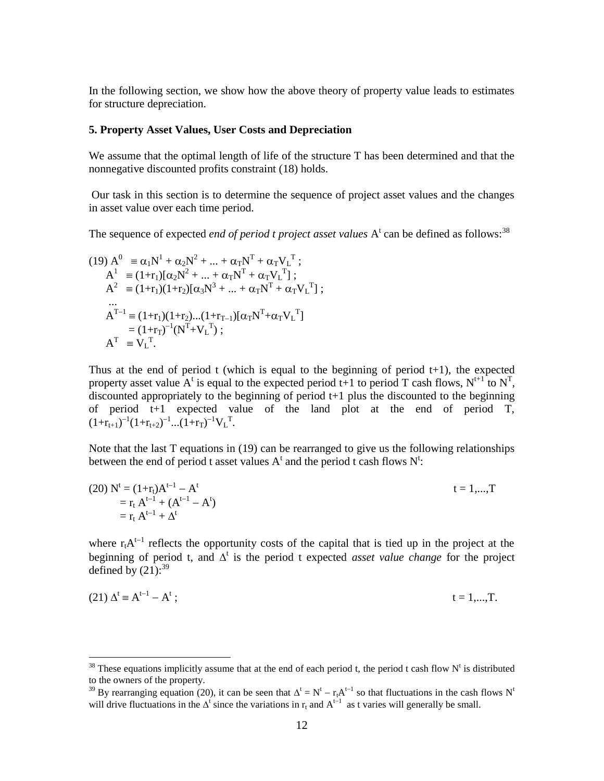In the following section, we show how the above theory of property value leads to estimates for structure depreciation.

### **5. Property Asset Values, User Costs and Depreciation**

We assume that the optimal length of life of the structure T has been determined and that the nonnegative discounted profits constraint (18) holds.

Our task in this section is to determine the sequence of project asset values and the changes in asset value over each time period.

The sequence of expected *end of period t project asset values*  $A<sup>t</sup>$  can be defined as follows:<sup>38</sup>

(19) 
$$
A^0 = \alpha_1 N^1 + \alpha_2 N^2 + ... + \alpha_T N^T + \alpha_T V_L^T
$$
;  
\n $A^1 = (1+r_1)[\alpha_2 N^2 + ... + \alpha_T N^T + \alpha_T V_L^T]$ ;  
\n $A^2 = (1+r_1)(1+r_2)[\alpha_3 N^3 + ... + \alpha_T N^T + \alpha_T V_L^T]$ ;  
\n...  
\n $A^{T-1} = (1+r_1)(1+r_2)...(1+r_{T-1})[\alpha_T N^T + \alpha_T V_L^T]$   
\n $= (1+r_T)^{-1}(N^T + V_L^T)$ ;  
\n $A^T = V_L^T$ .

 $\overline{a}$ 

Thus at the end of period t (which is equal to the beginning of period  $t+1$ ), the expected property asset value A<sup>t</sup> is equal to the expected period t+1 to period T cash flows,  $N^{t+1}$  to  $N^T$ , discounted appropriately to the beginning of period t+1 plus the discounted to the beginning of period t+1 expected value of the land plot at the end of period T,  $(1+r_{t+1})^{-1}(1+r_{t+2})^{-1}...(1+r_T)^{-1}V_L^T.$ 

Note that the last T equations in (19) can be rearranged to give us the following relationships between the end of period t asset values  $A^t$  and the period t cash flows  $N^t$ :

(20) 
$$
N^{t} = (1+r_{t})A^{t-1} - A^{t}
$$
  
=  $r_{t} A^{t-1} + (A^{t-1} - A^{t})$   
=  $r_{t} A^{t-1} + \Delta^{t}$ 

where  $r_t A^{t-1}$  reflects the opportunity costs of the capital that is tied up in the project at the beginning of period t, and  $\Delta^t$  is the period t expected *asset value change* for the project defined by  $(21)^{39}$ 

(21) 
$$
\Delta^t \equiv A^{t-1} - A^t
$$
;  $t = 1,...,T$ .

<sup>&</sup>lt;sup>38</sup> These equations implicitly assume that at the end of each period t, the period t cash flow  $N<sup>t</sup>$  is distributed to the owners of the property.

<sup>&</sup>lt;sup>39</sup> By rearranging equation (20), it can be seen that  $\Delta^t = N^t - r_t A^{t-1}$  so that fluctuations in the cash flows N<sup>t</sup> will drive fluctuations in the  $\Delta^t$  since the variations in  $r_t$  and  $A^{t-1}$  as t varies will generally be small.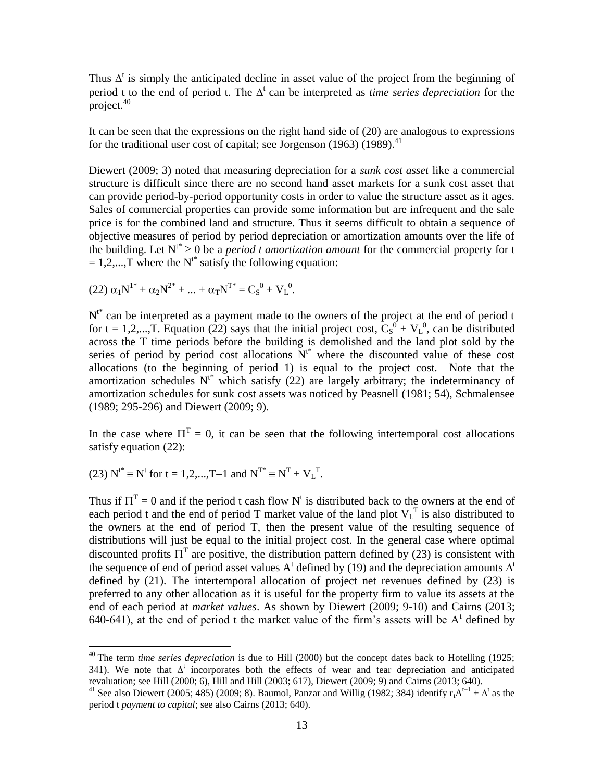Thus  $\Delta^t$  is simply the anticipated decline in asset value of the project from the beginning of period t to the end of period t. The  $\Delta^t$  can be interpreted as *time series depreciation* for the project.<sup>40</sup>

It can be seen that the expressions on the right hand side of (20) are analogous to expressions for the traditional user cost of capital; see Jorgenson (1963) (1989).<sup>41</sup>

Diewert (2009; 3) noted that measuring depreciation for a *sunk cost asset* like a commercial structure is difficult since there are no second hand asset markets for a sunk cost asset that can provide period-by-period opportunity costs in order to value the structure asset as it ages. Sales of commercial properties can provide some information but are infrequent and the sale price is for the combined land and structure. Thus it seems difficult to obtain a sequence of objective measures of period by period depreciation or amortization amounts over the life of the building. Let  $N^{t^*} \geq 0$  be a *period t amortization amount* for the commercial property for t  $= 1,2,...,T$  where the N<sup>t\*</sup> satisfy the following equation:

$$
(22) \alpha_1 N^{1^*} + \alpha_2 N^{2^*} + \ldots + \alpha_T N^{T^*} = C_S^0 + V_L^0.
$$

 $N^{t*}$  can be interpreted as a payment made to the owners of the project at the end of period t for t = 1,2,...,T. Equation (22) says that the initial project cost,  $C_S^0 + V_L^0$ , can be distributed across the T time periods before the building is demolished and the land plot sold by the series of period by period cost allocations  $N^{t*}$  where the discounted value of these cost allocations (to the beginning of period 1) is equal to the project cost. Note that the amortization schedules  $N^{t*}$  which satisfy (22) are largely arbitrary; the indeterminancy of amortization schedules for sunk cost assets was noticed by Peasnell (1981; 54), Schmalensee (1989; 295-296) and Diewert (2009; 9).

In the case where  $\Pi^T = 0$ , it can be seen that the following intertemporal cost allocations satisfy equation (22):

(23) 
$$
N^{t^*} \equiv N^t
$$
 for  $t = 1, 2, ..., T-1$  and  $N^{T^*} \equiv N^T + V_L^T$ .

 $\overline{a}$ 

Thus if  $\Pi^T = 0$  and if the period t cash flow  $N^t$  is distributed back to the owners at the end of each period t and the end of period T market value of the land plot  $V_L$ <sup>T</sup> is also distributed to the owners at the end of period T, then the present value of the resulting sequence of distributions will just be equal to the initial project cost. In the general case where optimal discounted profits  $\Pi^T$  are positive, the distribution pattern defined by (23) is consistent with the sequence of end of period asset values A<sup>t</sup> defined by (19) and the depreciation amounts  $\Delta^t$ defined by (21). The intertemporal allocation of project net revenues defined by (23) is preferred to any other allocation as it is useful for the property firm to value its assets at the end of each period at *market values*. As shown by Diewert (2009; 9-10) and Cairns (2013; 640-641), at the end of period t the market value of the firm's assets will be  $A<sup>t</sup>$  defined by

<sup>40</sup> The term *time series depreciation* is due to Hill (2000) but the concept dates back to Hotelling (1925; 341). We note that  $\Delta^t$  incorporates both the effects of wear and tear depreciation and anticipated revaluation; see Hill (2000; 6), Hill and Hill (2003; 617), Diewert (2009; 9) and Cairns (2013; 640).

<sup>&</sup>lt;sup>41</sup> See also Diewert (2005; 485) (2009; 8). Baumol, Panzar and Willig (1982; 384) identify  $r_t A^{t-1} + \Delta^t$  as the period t *payment to capital*; see also Cairns (2013; 640).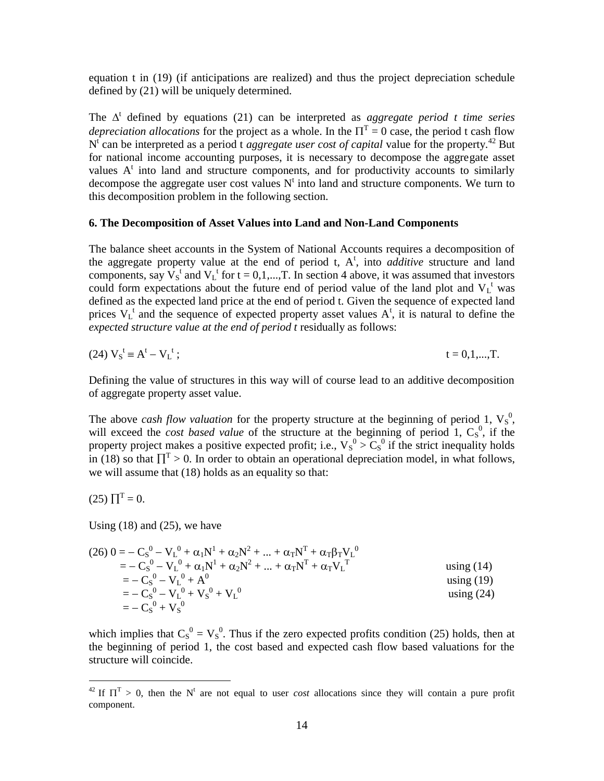equation t in (19) (if anticipations are realized) and thus the project depreciation schedule defined by (21) will be uniquely determined.

The  $\Delta^t$  defined by equations (21) can be interpreted as *aggregate period t time series depreciation allocations* for the project as a whole. In the  $\Pi^T = 0$  case, the period t cash flow  $N^{t}$  can be interpreted as a period t *aggregate user cost of capital* value for the property.<sup>42</sup> But for national income accounting purposes, it is necessary to decompose the aggregate asset values  $A<sup>t</sup>$  into land and structure components, and for productivity accounts to similarly decompose the aggregate user cost values  $N<sup>t</sup>$  into land and structure components. We turn to this decomposition problem in the following section.

### **6. The Decomposition of Asset Values into Land and Non-Land Components**

The balance sheet accounts in the System of National Accounts requires a decomposition of the aggregate property value at the end of period t, A<sup>t</sup>, into *additive* structure and land components, say  $V_s^t$  and  $V_l^t$  for  $t = 0,1,...,T$ . In section 4 above, it was assumed that investors could form expectations about the future end of period value of the land plot and  $V_L^t$  was defined as the expected land price at the end of period t. Given the sequence of expected land prices  $V_L^t$  and the sequence of expected property asset values  $A^t$ , it is natural to define the *expected structure value at the end of period t* residually as follows:

(24) 
$$
V_S^t \equiv A^t - V_L^t
$$
;  $t = 0, 1, ..., T$ .

Defining the value of structures in this way will of course lead to an additive decomposition of aggregate property asset value.

The above *cash flow valuation* for the property structure at the beginning of period 1,  $V_s^0$ , will exceed the *cost based value* of the structure at the beginning of period 1,  $C_S^0$ , if the property project makes a positive expected profit; i.e.,  $V_S^0 > C_S^0$  if the strict inequality holds in (18) so that  $\Pi^T > 0$ . In order to obtain an operational depreciation model, in what follows, we will assume that (18) holds as an equality so that:

$$
(25)\Pi^{T} = 0.
$$

 $\overline{a}$ 

Using  $(18)$  and  $(25)$ , we have

$$
(26) 0 = -CS0 - VL0 + \alpha1N1 + \alpha2N2 + ... + \alphaTNT + \alphaT\betaTVL0\n= -CS0 - VL0 + \alpha1N1 + \alpha2N2 + ... + \alphaTNT + \alphaTVLT\n= -CS0 - VL0 + A0\n= -CS0 - VL0 + VS0 + VL0\n= -CS0 + VS0
$$

which implies that  $C_S^0 = V_S^0$ . Thus if the zero expected profits condition (25) holds, then at the beginning of period 1, the cost based and expected cash flow based valuations for the structure will coincide.

<sup>&</sup>lt;sup>42</sup> If  $\Pi^T > 0$ , then the N<sup>t</sup> are not equal to user *cost* allocations since they will contain a pure profit component.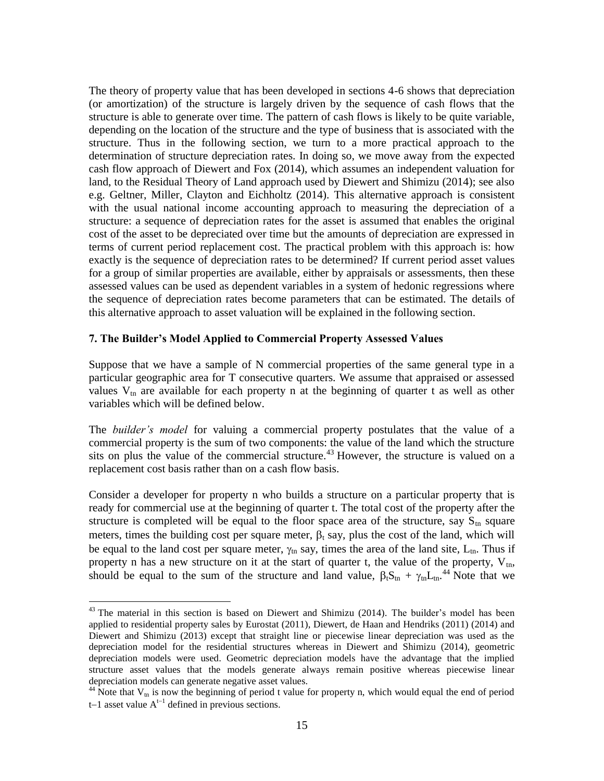The theory of property value that has been developed in sections 4-6 shows that depreciation (or amortization) of the structure is largely driven by the sequence of cash flows that the structure is able to generate over time. The pattern of cash flows is likely to be quite variable, depending on the location of the structure and the type of business that is associated with the structure. Thus in the following section, we turn to a more practical approach to the determination of structure depreciation rates. In doing so, we move away from the expected cash flow approach of Diewert and Fox (2014), which assumes an independent valuation for land, to the Residual Theory of Land approach used by Diewert and Shimizu (2014); see also e.g. Geltner, Miller, Clayton and Eichholtz (2014). This alternative approach is consistent with the usual national income accounting approach to measuring the depreciation of a structure: a sequence of depreciation rates for the asset is assumed that enables the original cost of the asset to be depreciated over time but the amounts of depreciation are expressed in terms of current period replacement cost. The practical problem with this approach is: how exactly is the sequence of depreciation rates to be determined? If current period asset values for a group of similar properties are available, either by appraisals or assessments, then these assessed values can be used as dependent variables in a system of hedonic regressions where the sequence of depreciation rates become parameters that can be estimated. The details of this alternative approach to asset valuation will be explained in the following section.

## **7. The Builder's Model Applied to Commercial Property Assessed Values**

Suppose that we have a sample of N commercial properties of the same general type in a particular geographic area for T consecutive quarters. We assume that appraised or assessed values  $V_{tn}$  are available for each property n at the beginning of quarter t as well as other variables which will be defined below.

The *builder's model* for valuing a commercial property postulates that the value of a commercial property is the sum of two components: the value of the land which the structure sits on plus the value of the commercial structure.<sup>43</sup> However, the structure is valued on a replacement cost basis rather than on a cash flow basis.

Consider a developer for property n who builds a structure on a particular property that is ready for commercial use at the beginning of quarter t. The total cost of the property after the structure is completed will be equal to the floor space area of the structure, say  $S_{tn}$  square meters, times the building cost per square meter,  $\beta_t$  say, plus the cost of the land, which will be equal to the land cost per square meter,  $\gamma_{tn}$  say, times the area of the land site,  $L_{tn}$ . Thus if property n has a new structure on it at the start of quarter t, the value of the property,  $V_{tn}$ , should be equal to the sum of the structure and land value,  $\beta_t S_{tn} + \gamma_{tn} L_{tn}.$ <sup>44</sup> Note that we

<sup>&</sup>lt;sup>43</sup> The material in this section is based on Diewert and Shimizu (2014). The builder's model has been applied to residential property sales by Eurostat (2011), Diewert, de Haan and Hendriks (2011) (2014) and Diewert and Shimizu (2013) except that straight line or piecewise linear depreciation was used as the depreciation model for the residential structures whereas in Diewert and Shimizu (2014), geometric depreciation models were used. Geometric depreciation models have the advantage that the implied structure asset values that the models generate always remain positive whereas piecewise linear depreciation models can generate negative asset values.

 $^{44}$  Note that V<sub>tn</sub> is now the beginning of period t value for property n, which would equal the end of period  $t-1$  asset value  $A^{t-1}$  defined in previous sections.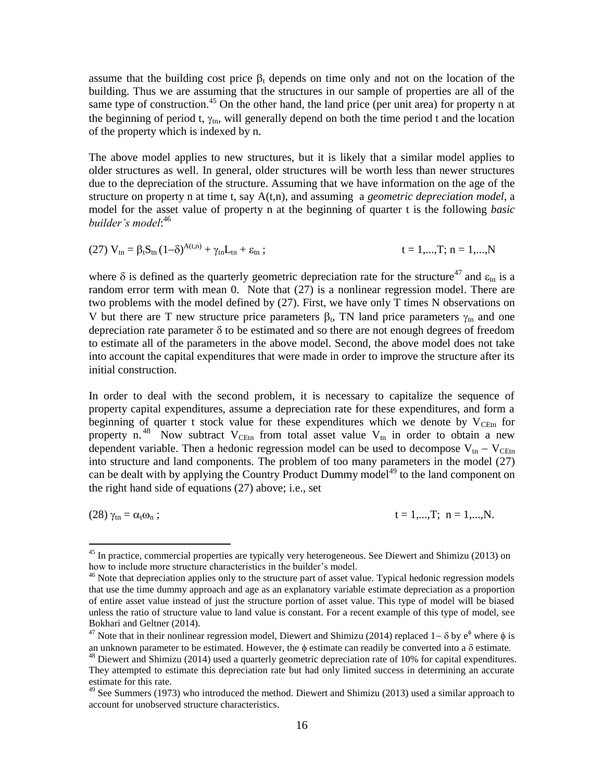assume that the building cost price  $\beta_t$  depends on time only and not on the location of the building. Thus we are assuming that the structures in our sample of properties are all of the same type of construction.<sup>45</sup> On the other hand, the land price (per unit area) for property n at the beginning of period t,  $\gamma_{\text{m}}$ , will generally depend on both the time period t and the location of the property which is indexed by n.

The above model applies to new structures, but it is likely that a similar model applies to older structures as well. In general, older structures will be worth less than newer structures due to the depreciation of the structure. Assuming that we have information on the age of the structure on property n at time t, say A(t,n), and assuming a *geometric depreciation model*, a model for the asset value of property n at the beginning of quarter t is the following *basic builder's model*: 46

(27) 
$$
V_{tn} = \beta_t S_{tn} (1-\delta)^{A(t,n)} + \gamma_{tn} L_{tn} + \epsilon_{tn}
$$
;  $t = 1,...,T; n = 1,...,N$ 

where  $\delta$  is defined as the quarterly geometric depreciation rate for the structure<sup>47</sup> and  $\varepsilon_{\rm in}$  is a random error term with mean 0. Note that  $(27)$  is a nonlinear regression model. There are two problems with the model defined by (27). First, we have only T times N observations on V but there are T new structure price parameters  $\beta_t$ , TN land price parameters  $\gamma_{tn}$  and one depreciation rate parameter  $\delta$  to be estimated and so there are not enough degrees of freedom to estimate all of the parameters in the above model. Second, the above model does not take into account the capital expenditures that were made in order to improve the structure after its initial construction.

In order to deal with the second problem, it is necessary to capitalize the sequence of property capital expenditures, assume a depreciation rate for these expenditures, and form a beginning of quarter t stock value for these expenditures which we denote by  $V_{CEtn}$  for property n.<sup>48</sup> Now subtract V<sub>CEtn</sub> from total asset value V<sub>tn</sub> in order to obtain a new dependent variable. Then a hedonic regression model can be used to decompose  $V_{\text{tn}} - V_{\text{CEtn}}$ into structure and land components. The problem of too many parameters in the model (27) can be dealt with by applying the Country Product Dummy model<sup>49</sup> to the land component on the right hand side of equations (27) above; i.e., set

 $\overline{a}$ 

(28)  $\gamma_{\text{tn}} = \alpha_{t} \omega_{\text{n}}$ ;  $t = 1,...,T; \text{ } n = 1,...,N.$ 

<sup>&</sup>lt;sup>45</sup> In practice, commercial properties are typically very heterogeneous. See Diewert and Shimizu (2013) on how to include more structure characteristics in the builder's model.

<sup>&</sup>lt;sup>46</sup> Note that depreciation applies only to the structure part of asset value. Typical hedonic regression models that use the time dummy approach and age as an explanatory variable estimate depreciation as a proportion of entire asset value instead of just the structure portion of asset value. This type of model will be biased unless the ratio of structure value to land value is constant. For a recent example of this type of model, see Bokhari and Geltner (2014).

<sup>&</sup>lt;sup>47</sup> Note that in their nonlinear regression model, Diewert and Shimizu (2014) replaced  $1-\delta$  by e<sup> $\phi$ </sup> where  $\phi$  is an unknown parameter to be estimated. However, the  $\phi$  estimate can readily be converted into a  $\delta$  estimate.

<sup>48</sup> Diewert and Shimizu (2014) used a quarterly geometric depreciation rate of 10% for capital expenditures. They attempted to estimate this depreciation rate but had only limited success in determining an accurate estimate for this rate.

 $49$  See Summers (1973) who introduced the method. Diewert and Shimizu (2013) used a similar approach to account for unobserved structure characteristics.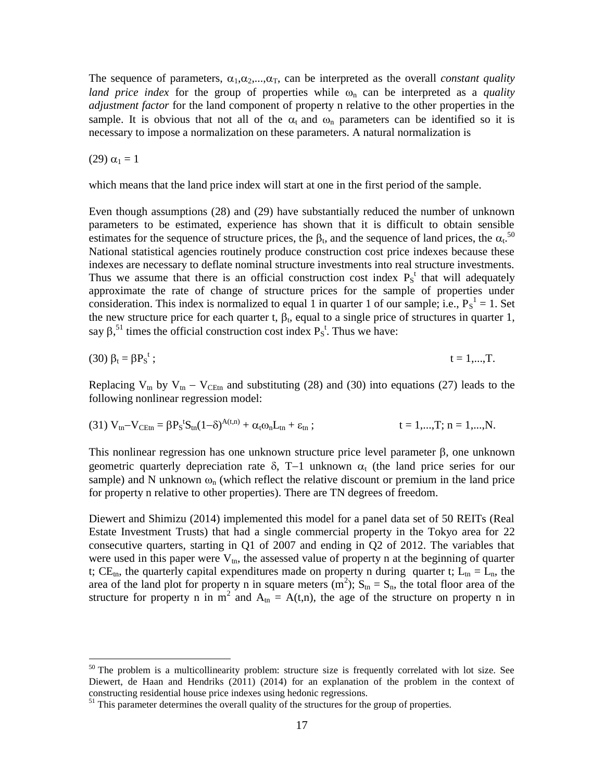The sequence of parameters,  $\alpha_1, \alpha_2, \ldots, \alpha_T$ , can be interpreted as the overall *constant quality land price index* for the group of properties while  $\omega_n$  can be interpreted as a *quality adjustment factor* for the land component of property n relative to the other properties in the sample. It is obvious that not all of the  $\alpha_t$  and  $\omega_n$  parameters can be identified so it is necessary to impose a normalization on these parameters. A natural normalization is

$$
(29) \alpha_1 = 1
$$

 $\overline{a}$ 

which means that the land price index will start at one in the first period of the sample.

Even though assumptions (28) and (29) have substantially reduced the number of unknown parameters to be estimated, experience has shown that it is difficult to obtain sensible estimates for the sequence of structure prices, the  $\beta_t$ , and the sequence of land prices, the  $\alpha_t$ .<sup>50</sup> National statistical agencies routinely produce construction cost price indexes because these indexes are necessary to deflate nominal structure investments into real structure investments. Thus we assume that there is an official construction cost index  $P_S^t$  that will adequately approximate the rate of change of structure prices for the sample of properties under consideration. This index is normalized to equal 1 in quarter 1 of our sample; i.e.,  $P_S^1 = 1$ . Set the new structure price for each quarter t,  $\beta_t$ , equal to a single price of structures in quarter 1, say  $\beta$ ,<sup>51</sup> times the official construction cost index  $P_s^t$ . Thus we have:

(30) 
$$
\beta_t = \beta P_S^t
$$
;  $t = 1,...,T$ .

Replacing  $V_{tn}$  by  $V_{tn}$  –  $V_{CEtn}$  and substituting (28) and (30) into equations (27) leads to the following nonlinear regression model:

(31) 
$$
V_{tn} - V_{CEtn} = \beta P_S^t S_{tn} (1 - \delta)^{A(t,n)} + \alpha_t \omega_n L_{tn} + \epsilon_{tn}
$$
;  $t = 1,...,T; n = 1,...,N$ .

This nonlinear regression has one unknown structure price level parameter  $\beta$ , one unknown geometric quarterly depreciation rate  $\delta$ , T-1 unknown  $\alpha_t$  (the land price series for our sample) and N unknown  $\omega_n$  (which reflect the relative discount or premium in the land price for property n relative to other properties). There are TN degrees of freedom.

Diewert and Shimizu (2014) implemented this model for a panel data set of 50 REITs (Real Estate Investment Trusts) that had a single commercial property in the Tokyo area for 22 consecutive quarters, starting in Q1 of 2007 and ending in Q2 of 2012. The variables that were used in this paper were  $V_{tn}$ , the assessed value of property n at the beginning of quarter t; CE<sub>tn</sub>, the quarterly capital expenditures made on property n during quarter t;  $L_{tn} = L_n$ , the area of the land plot for property n in square meters  $(m^2)$ ;  $S_{tn} = S_n$ , the total floor area of the structure for property n in  $m^2$  and  $A_m = A(t,n)$ , the age of the structure on property n in

 $50$  The problem is a multicollinearity problem: structure size is frequently correlated with lot size. See Diewert, de Haan and Hendriks (2011) (2014) for an explanation of the problem in the context of constructing residential house price indexes using hedonic regressions.

<sup>&</sup>lt;sup>51</sup> This parameter determines the overall quality of the structures for the group of properties.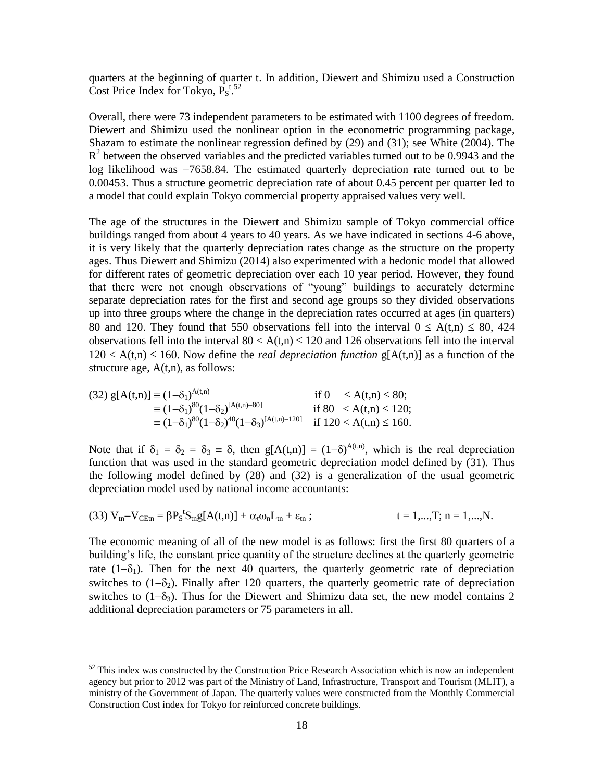quarters at the beginning of quarter t. In addition, Diewert and Shimizu used a Construction Cost Price Index for Tokyo,  $P_s^t$ .<sup>52</sup>

Overall, there were 73 independent parameters to be estimated with 1100 degrees of freedom. Diewert and Shimizu used the nonlinear option in the econometric programming package, Shazam to estimate the nonlinear regression defined by (29) and (31); see White (2004). The  $R<sup>2</sup>$  between the observed variables and the predicted variables turned out to be 0.9943 and the log likelihood was  $-7658.84$ . The estimated quarterly depreciation rate turned out to be 0.00453. Thus a structure geometric depreciation rate of about 0.45 percent per quarter led to a model that could explain Tokyo commercial property appraised values very well.

The age of the structures in the Diewert and Shimizu sample of Tokyo commercial office buildings ranged from about 4 years to 40 years. As we have indicated in sections 4-6 above, it is very likely that the quarterly depreciation rates change as the structure on the property ages. Thus Diewert and Shimizu (2014) also experimented with a hedonic model that allowed for different rates of geometric depreciation over each 10 year period. However, they found that there were not enough observations of "young" buildings to accurately determine separate depreciation rates for the first and second age groups so they divided observations up into three groups where the change in the depreciation rates occurred at ages (in quarters) 80 and 120. They found that 550 observations fell into the interval  $0 \le A(t,n) \le 80$ , 424 observations fell into the interval  $80 < A(t,n) \le 120$  and 126 observations fell into the interval  $120 < A(t,n) \le 160$ . Now define the *real depreciation function*  $g[A(t,n)]$  as a function of the structure age,  $A(t,n)$ , as follows:

$$
(32) g[A(t,n)] = (1-\delta_1)^{A(t,n)} \quad \text{if } 0 \le A(t,n) \le 80; \n= (1-\delta_1)^{80} (1-\delta_2)^{[A(t,n)-80]} \quad \text{if } 80 < A(t,n) \le 120; \n= (1-\delta_1)^{80} (1-\delta_2)^{40} (1-\delta_3)^{[A(t,n)-120]} \quad \text{if } 120 < A(t,n) \le 160.
$$

 $\overline{a}$ 

Note that if  $\delta_1 = \delta_2 = \delta_3 \equiv \delta$ , then  $g[A(t,n)] = (1-\delta)^{A(t,n)}$ , which is the real depreciation function that was used in the standard geometric depreciation model defined by (31). Thus the following model defined by (28) and (32) is a generalization of the usual geometric depreciation model used by national income accountants:

(33) 
$$
V_{tn} - V_{CEtn} = \beta P_S^t S_{tn} g[A(t, n)] + \alpha_t \omega_n L_{tn} + \epsilon_{tn}
$$
;  $t = 1,...,T; n = 1,...,N.$ 

The economic meaning of all of the new model is as follows: first the first 80 quarters of a building's life, the constant price quantity of the structure declines at the quarterly geometric rate  $(1-\delta_1)$ . Then for the next 40 quarters, the quarterly geometric rate of depreciation switches to  $(1-\delta_2)$ . Finally after 120 quarters, the quarterly geometric rate of depreciation switches to  $(1-\delta_3)$ . Thus for the Diewert and Shimizu data set, the new model contains 2 additional depreciation parameters or 75 parameters in all.

 $52$  This index was constructed by the Construction Price Research Association which is now an independent agency but prior to 2012 was part of the Ministry of Land, Infrastructure, Transport and Tourism (MLIT), a ministry of the Government of Japan. The quarterly values were constructed from the Monthly Commercial Construction Cost index for Tokyo for reinforced concrete buildings.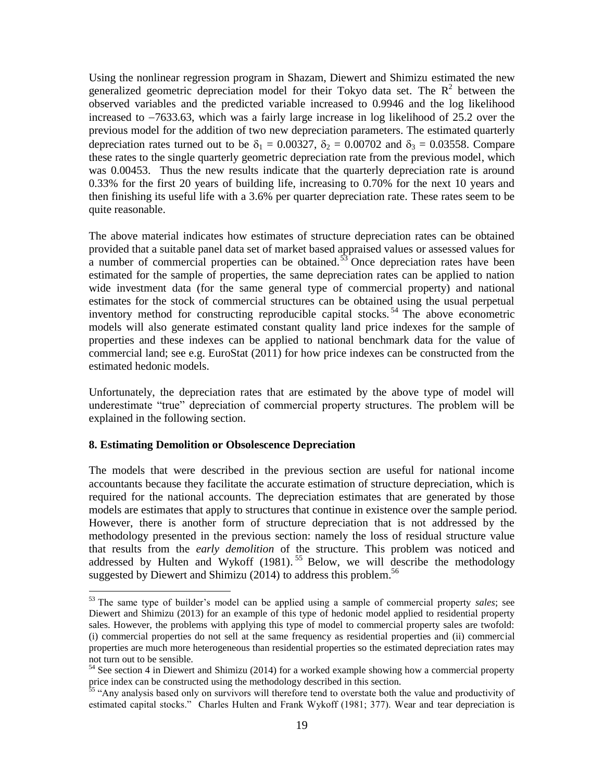Using the nonlinear regression program in Shazam, Diewert and Shimizu estimated the new generalized geometric depreciation model for their Tokyo data set. The  $R^2$  between the observed variables and the predicted variable increased to 0.9946 and the log likelihood increased to  $-7633.63$ , which was a fairly large increase in log likelihood of 25.2 over the previous model for the addition of two new depreciation parameters. The estimated quarterly depreciation rates turned out to be  $\delta_1 = 0.00327$ ,  $\delta_2 = 0.00702$  and  $\delta_3 = 0.03558$ . Compare these rates to the single quarterly geometric depreciation rate from the previous model, which was 0.00453. Thus the new results indicate that the quarterly depreciation rate is around 0.33% for the first 20 years of building life, increasing to 0.70% for the next 10 years and then finishing its useful life with a 3.6% per quarter depreciation rate. These rates seem to be quite reasonable.

The above material indicates how estimates of structure depreciation rates can be obtained provided that a suitable panel data set of market based appraised values or assessed values for a number of commercial properties can be obtained.<sup>53</sup> Once depreciation rates have been estimated for the sample of properties, the same depreciation rates can be applied to nation wide investment data (for the same general type of commercial property) and national estimates for the stock of commercial structures can be obtained using the usual perpetual inventory method for constructing reproducible capital stocks.<sup>54</sup> The above econometric models will also generate estimated constant quality land price indexes for the sample of properties and these indexes can be applied to national benchmark data for the value of commercial land; see e.g. EuroStat (2011) for how price indexes can be constructed from the estimated hedonic models.

Unfortunately, the depreciation rates that are estimated by the above type of model will underestimate "true" depreciation of commercial property structures. The problem will be explained in the following section.

## **8. Estimating Demolition or Obsolescence Depreciation**

 $\overline{a}$ 

The models that were described in the previous section are useful for national income accountants because they facilitate the accurate estimation of structure depreciation, which is required for the national accounts. The depreciation estimates that are generated by those models are estimates that apply to structures that continue in existence over the sample period. However, there is another form of structure depreciation that is not addressed by the methodology presented in the previous section: namely the loss of residual structure value that results from the *early demolition* of the structure. This problem was noticed and addressed by Hulten and Wykoff  $(1981)$ .<sup>55</sup> Below, we will describe the methodology suggested by Diewert and Shimizu (2014) to address this problem.<sup>56</sup>

<sup>53</sup> The same type of builder's model can be applied using a sample of commercial property *sales*; see Diewert and Shimizu (2013) for an example of this type of hedonic model applied to residential property sales. However, the problems with applying this type of model to commercial property sales are twofold: (i) commercial properties do not sell at the same frequency as residential properties and (ii) commercial properties are much more heterogeneous than residential properties so the estimated depreciation rates may not turn out to be sensible.

 $54$  See section 4 in Diewert and Shimizu (2014) for a worked example showing how a commercial property price index can be constructed using the methodology described in this section.

<sup>&</sup>lt;sup>55</sup> "Any analysis based only on survivors will therefore tend to overstate both the value and productivity of estimated capital stocks." Charles Hulten and Frank Wykoff (1981; 377). Wear and tear depreciation is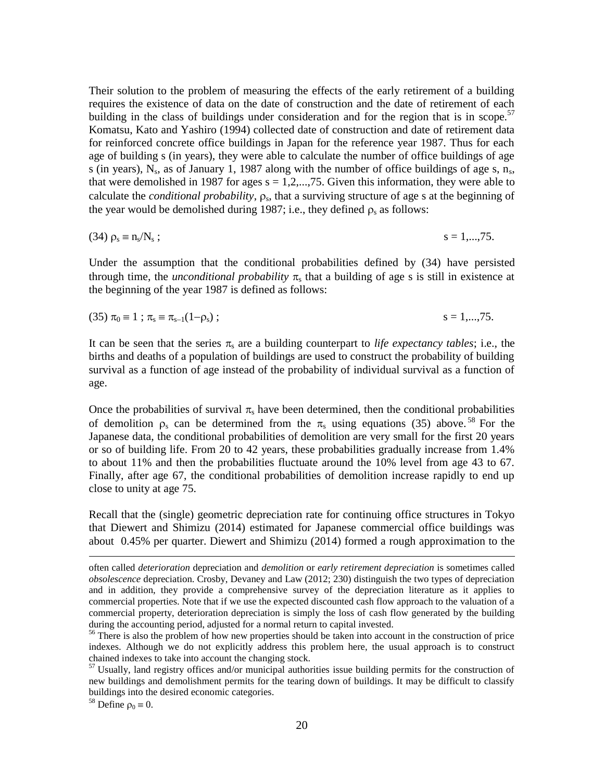Their solution to the problem of measuring the effects of the early retirement of a building requires the existence of data on the date of construction and the date of retirement of each building in the class of buildings under consideration and for the region that is in scope.<sup>57</sup> Komatsu, Kato and Yashiro (1994) collected date of construction and date of retirement data for reinforced concrete office buildings in Japan for the reference year 1987. Thus for each age of building s (in years), they were able to calculate the number of office buildings of age s (in years),  $N_s$ , as of January 1, 1987 along with the number of office buildings of age  $s$ ,  $n_s$ , that were demolished in 1987 for ages  $s = 1, 2, \ldots, 75$ . Given this information, they were able to calculate the *conditional probability*,  $\rho_s$ , that a surviving structure of age s at the beginning of the year would be demolished during 1987; i.e., they defined  $\rho_s$  as follows:

(34) 
$$
\rho_s \equiv n_s/N_s
$$
;  $s = 1,...,75$ .

Under the assumption that the conditional probabilities defined by (34) have persisted through time, the *unconditional probability*  $\pi_s$  that a building of age s is still in existence at the beginning of the year 1987 is defined as follows:

(35) 
$$
\pi_0 \equiv 1
$$
;  $\pi_s \equiv \pi_{s-1}(1-\rho_s)$ ;  $s = 1,...,75$ .

It can be seen that the series  $\pi_s$  are a building counterpart to *life expectancy tables*; i.e., the births and deaths of a population of buildings are used to construct the probability of building survival as a function of age instead of the probability of individual survival as a function of age.

Once the probabilities of survival  $\pi_s$  have been determined, then the conditional probabilities of demolition  $\rho_s$  can be determined from the  $\pi_s$  using equations (35) above. <sup>58</sup> For the Japanese data, the conditional probabilities of demolition are very small for the first 20 years or so of building life. From 20 to 42 years, these probabilities gradually increase from 1.4% to about 11% and then the probabilities fluctuate around the 10% level from age 43 to 67. Finally, after age 67, the conditional probabilities of demolition increase rapidly to end up close to unity at age 75.

Recall that the (single) geometric depreciation rate for continuing office structures in Tokyo that Diewert and Shimizu (2014) estimated for Japanese commercial office buildings was about 0.45% per quarter. Diewert and Shimizu (2014) formed a rough approximation to the

<sup>58</sup> Define  $\rho_0 = 0$ .

often called *deterioration* depreciation and *demolition* or *early retirement depreciation* is sometimes called *obsolescence* depreciation. Crosby, Devaney and Law (2012; 230) distinguish the two types of depreciation and in addition, they provide a comprehensive survey of the depreciation literature as it applies to commercial properties. Note that if we use the expected discounted cash flow approach to the valuation of a commercial property, deterioration depreciation is simply the loss of cash flow generated by the building during the accounting period, adjusted for a normal return to capital invested.

<sup>&</sup>lt;sup>56</sup> There is also the problem of how new properties should be taken into account in the construction of price indexes. Although we do not explicitly address this problem here, the usual approach is to construct chained indexes to take into account the changing stock.

<sup>57</sup> Usually, land registry offices and/or municipal authorities issue building permits for the construction of new buildings and demolishment permits for the tearing down of buildings. It may be difficult to classify buildings into the desired economic categories.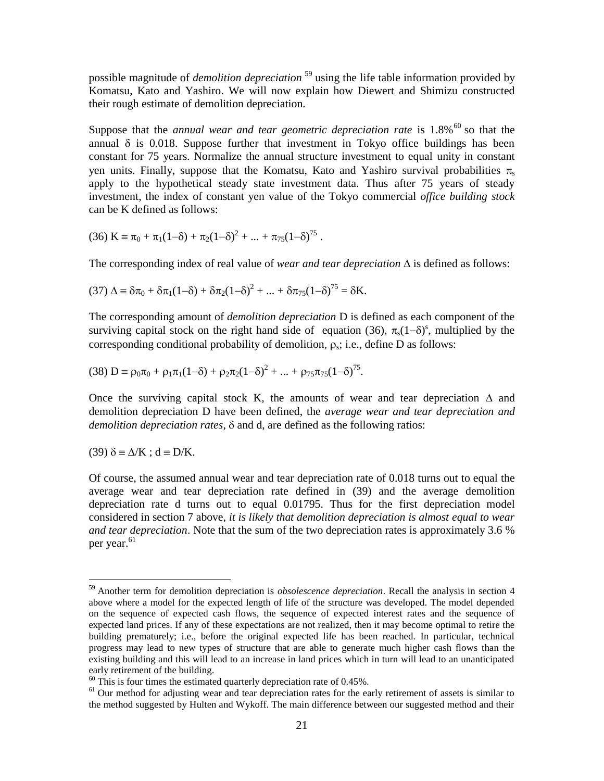possible magnitude of *demolition depreciation* <sup>59</sup> using the life table information provided by Komatsu, Kato and Yashiro. We will now explain how Diewert and Shimizu constructed their rough estimate of demolition depreciation.

Suppose that the *annual wear and tear geometric depreciation rate* is 1.8%<sup>60</sup> so that the annual  $\delta$  is 0.018. Suppose further that investment in Tokyo office buildings has been constant for 75 years. Normalize the annual structure investment to equal unity in constant yen units. Finally, suppose that the Komatsu, Kato and Yashiro survival probabilities  $\pi_s$ apply to the hypothetical steady state investment data. Thus after 75 years of steady investment, the index of constant yen value of the Tokyo commercial *office building stock* can be K defined as follows:

$$
(36) K \equiv \pi_0 + \pi_1 (1-\delta) + \pi_2 (1-\delta)^2 + ... + \pi_{75} (1-\delta)^{75}.
$$

The corresponding index of real value of *wear and tear depreciation*  $\Delta$  is defined as follows:

$$
(37)\Delta \equiv \delta \pi_0 + \delta \pi_1 (1-\delta) + \delta \pi_2 (1-\delta)^2 + \dots + \delta \pi_{75} (1-\delta)^{75} = \delta K.
$$

The corresponding amount of *demolition depreciation* D is defined as each component of the surviving capital stock on the right hand side of equation (36),  $\pi_s(1-\delta)^\text{s}$ , multiplied by the corresponding conditional probability of demolition,  $\rho_s$ ; i.e., define D as follows:

$$
(38) D \equiv \rho_0 \pi_0 + \rho_1 \pi_1 (1-\delta) + \rho_2 \pi_2 (1-\delta)^2 + \dots + \rho_{75} \pi_{75} (1-\delta)^{75}.
$$

Once the surviving capital stock K, the amounts of wear and tear depreciation  $\Delta$  and demolition depreciation D have been defined, the *average wear and tear depreciation and demolition depreciation rates*,  $\delta$  and d, are defined as the following ratios:

 $(39)$   $\delta \equiv \Delta/K$ ;  $d \equiv D/K$ .

 $\overline{a}$ 

Of course, the assumed annual wear and tear depreciation rate of 0.018 turns out to equal the average wear and tear depreciation rate defined in (39) and the average demolition depreciation rate d turns out to equal 0.01795. Thus for the first depreciation model considered in section 7 above, *it is likely that demolition depreciation is almost equal to wear and tear depreciation*. Note that the sum of the two depreciation rates is approximately 3.6 % per year.<sup>61</sup>

<sup>59</sup> Another term for demolition depreciation is *obsolescence depreciation*. Recall the analysis in section 4 above where a model for the expected length of life of the structure was developed. The model depended on the sequence of expected cash flows, the sequence of expected interest rates and the sequence of expected land prices. If any of these expectations are not realized, then it may become optimal to retire the building prematurely; i.e., before the original expected life has been reached. In particular, technical progress may lead to new types of structure that are able to generate much higher cash flows than the existing building and this will lead to an increase in land prices which in turn will lead to an unanticipated early retirement of the building.

 $60$  This is four times the estimated quarterly depreciation rate of 0.45%.

<sup>&</sup>lt;sup>61</sup> Our method for adjusting wear and tear depreciation rates for the early retirement of assets is similar to the method suggested by Hulten and Wykoff. The main difference between our suggested method and their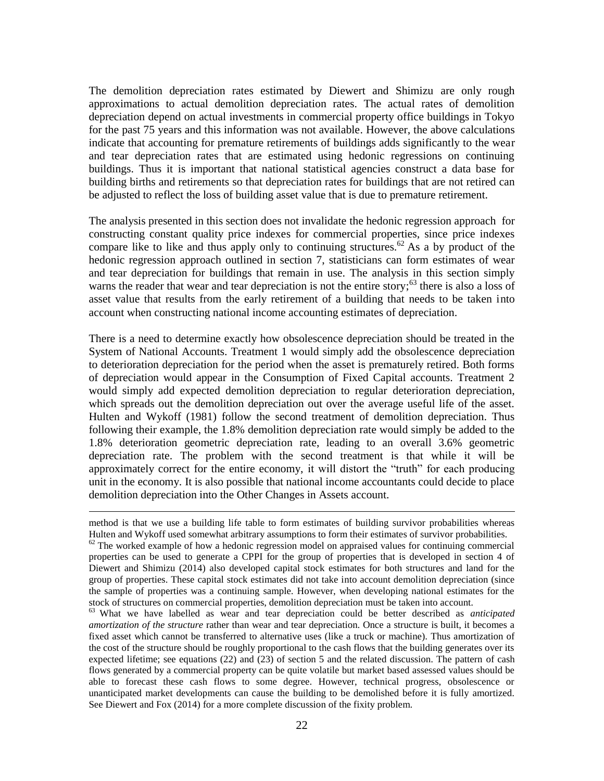The demolition depreciation rates estimated by Diewert and Shimizu are only rough approximations to actual demolition depreciation rates. The actual rates of demolition depreciation depend on actual investments in commercial property office buildings in Tokyo for the past 75 years and this information was not available. However, the above calculations indicate that accounting for premature retirements of buildings adds significantly to the wear and tear depreciation rates that are estimated using hedonic regressions on continuing buildings. Thus it is important that national statistical agencies construct a data base for building births and retirements so that depreciation rates for buildings that are not retired can be adjusted to reflect the loss of building asset value that is due to premature retirement.

The analysis presented in this section does not invalidate the hedonic regression approach for constructing constant quality price indexes for commercial properties, since price indexes compare like to like and thus apply only to continuing structures.<sup>62</sup> As a by product of the hedonic regression approach outlined in section 7, statisticians can form estimates of wear and tear depreciation for buildings that remain in use. The analysis in this section simply warns the reader that wear and tear depreciation is not the entire story;<sup>63</sup> there is also a loss of asset value that results from the early retirement of a building that needs to be taken into account when constructing national income accounting estimates of depreciation.

There is a need to determine exactly how obsolescence depreciation should be treated in the System of National Accounts. Treatment 1 would simply add the obsolescence depreciation to deterioration depreciation for the period when the asset is prematurely retired. Both forms of depreciation would appear in the Consumption of Fixed Capital accounts. Treatment 2 would simply add expected demolition depreciation to regular deterioration depreciation, which spreads out the demolition depreciation out over the average useful life of the asset. Hulten and Wykoff (1981) follow the second treatment of demolition depreciation. Thus following their example, the 1.8% demolition depreciation rate would simply be added to the 1.8% deterioration geometric depreciation rate, leading to an overall 3.6% geometric depreciation rate. The problem with the second treatment is that while it will be approximately correct for the entire economy, it will distort the "truth" for each producing unit in the economy. It is also possible that national income accountants could decide to place demolition depreciation into the Other Changes in Assets account.

method is that we use a building life table to form estimates of building survivor probabilities whereas Hulten and Wykoff used somewhat arbitrary assumptions to form their estimates of survivor probabilities.

 $62$  The worked example of how a hedonic regression model on appraised values for continuing commercial properties can be used to generate a CPPI for the group of properties that is developed in section 4 of Diewert and Shimizu (2014) also developed capital stock estimates for both structures and land for the group of properties. These capital stock estimates did not take into account demolition depreciation (since the sample of properties was a continuing sample. However, when developing national estimates for the stock of structures on commercial properties, demolition depreciation must be taken into account.

<sup>63</sup> What we have labelled as wear and tear depreciation could be better described as *anticipated amortization of the structure* rather than wear and tear depreciation. Once a structure is built, it becomes a fixed asset which cannot be transferred to alternative uses (like a truck or machine). Thus amortization of the cost of the structure should be roughly proportional to the cash flows that the building generates over its expected lifetime; see equations (22) and (23) of section 5 and the related discussion. The pattern of cash flows generated by a commercial property can be quite volatile but market based assessed values should be able to forecast these cash flows to some degree. However, technical progress, obsolescence or unanticipated market developments can cause the building to be demolished before it is fully amortized. See Diewert and Fox (2014) for a more complete discussion of the fixity problem.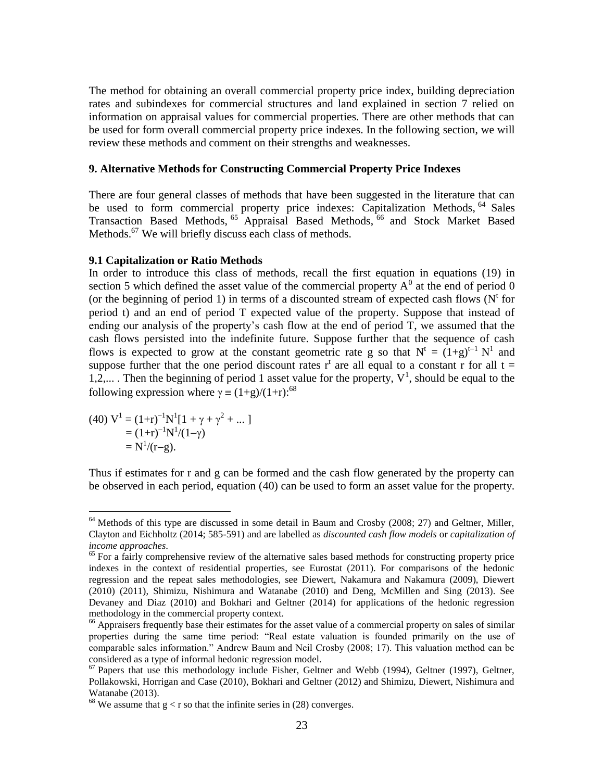The method for obtaining an overall commercial property price index, building depreciation rates and subindexes for commercial structures and land explained in section 7 relied on information on appraisal values for commercial properties. There are other methods that can be used for form overall commercial property price indexes. In the following section, we will review these methods and comment on their strengths and weaknesses.

#### **9. Alternative Methods for Constructing Commercial Property Price Indexes**

There are four general classes of methods that have been suggested in the literature that can be used to form commercial property price indexes: Capitalization Methods, <sup>64</sup> Sales Transaction Based Methods, <sup>65</sup> Appraisal Based Methods, <sup>66</sup> and Stock Market Based Methods.<sup>67</sup> We will briefly discuss each class of methods.

#### **9.1 Capitalization or Ratio Methods**

In order to introduce this class of methods, recall the first equation in equations (19) in section 5 which defined the asset value of the commercial property  $A^0$  at the end of period 0 (or the beginning of period 1) in terms of a discounted stream of expected cash flows ( $N<sup>t</sup>$  for period t) and an end of period T expected value of the property. Suppose that instead of ending our analysis of the property's cash flow at the end of period T, we assumed that the cash flows persisted into the indefinite future. Suppose further that the sequence of cash flows is expected to grow at the constant geometric rate g so that  $N^t = (1+g)^{t-1} N^1$  and suppose further that the one period discount rates  $r^t$  are all equal to a constant r for all  $t =$ 1,2,... Then the beginning of period 1 asset value for the property,  $V^1$ , should be equal to the following expression where  $y = (1+g)/(1+r)$ :<sup>68</sup>

(40) 
$$
V^{1} = (1+r)^{-1}N^{1}[1 + \gamma + \gamma^{2} + ...]
$$

$$
= (1+r)^{-1}N^{1}/(1-\gamma)
$$

$$
= N^{1}/(r-g).
$$

 $\overline{a}$ 

Thus if estimates for r and g can be formed and the cash flow generated by the property can be observed in each period, equation (40) can be used to form an asset value for the property.

 $64$  Methods of this type are discussed in some detail in Baum and Crosby (2008; 27) and Geltner, Miller, Clayton and Eichholtz (2014; 585-591) and are labelled as *discounted cash flow models* or *capitalization of income approaches*.

<sup>&</sup>lt;sup>65</sup> For a fairly comprehensive review of the alternative sales based methods for constructing property price indexes in the context of residential properties, see Eurostat (2011). For comparisons of the hedonic regression and the repeat sales methodologies, see Diewert, Nakamura and Nakamura (2009), Diewert (2010) (2011), Shimizu, Nishimura and Watanabe (2010) and Deng, McMillen and Sing (2013). See Devaney and Diaz (2010) and Bokhari and Geltner (2014) for applications of the hedonic regression methodology in the commercial property context.

 $66$  Appraisers frequently base their estimates for the asset value of a commercial property on sales of similar properties during the same time period: "Real estate valuation is founded primarily on the use of comparable sales information." Andrew Baum and Neil Crosby (2008; 17). This valuation method can be considered as a type of informal hedonic regression model.

 $<sup>67</sup>$  Papers that use this methodology include Fisher, Geltner and Webb (1994), Geltner (1997), Geltner,</sup> Pollakowski, Horrigan and Case (2010), Bokhari and Geltner (2012) and Shimizu, Diewert, Nishimura and Watanabe (2013).

<sup>&</sup>lt;sup>68</sup> We assume that  $g < r$  so that the infinite series in (28) converges.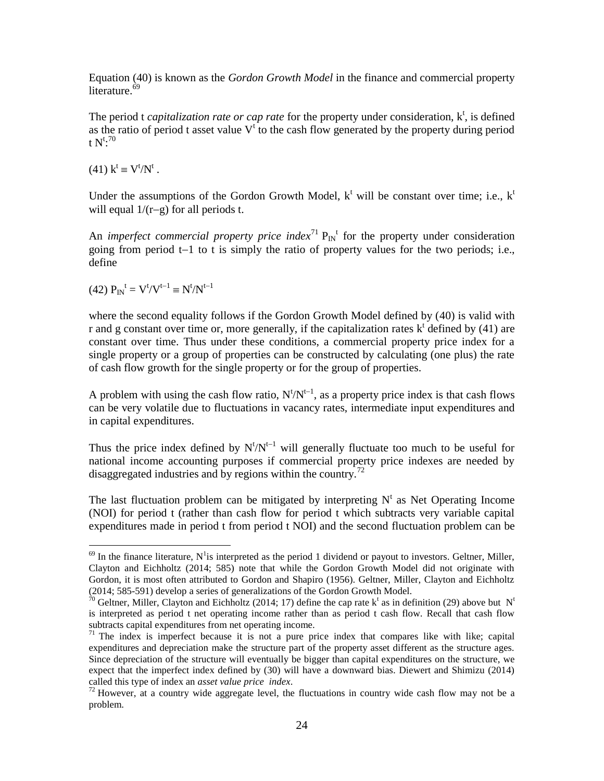Equation (40) is known as the *Gordon Growth Model* in the finance and commercial property literature.<sup>69</sup>

The period t *capitalization rate or cap rate* for the property under consideration,  $k^t$ , is defined as the ratio of period t asset value  $V^t$  to the cash flow generated by the property during period t  $N^{t,70}$ 

 $(41)$  k<sup>t</sup>  $\equiv V^{t}/N^{t}$ .

 $\overline{a}$ 

Under the assumptions of the Gordon Growth Model,  $k^t$  will be constant over time; i.e.,  $k^t$ will equal  $1/(r-g)$  for all periods t.

An *imperfect commercial property price index*<sup>71</sup>  $P_{IN}$ <sup>t</sup> for the property under consideration going from period  $t-1$  to t is simply the ratio of property values for the two periods; i.e., define

(42) 
$$
P_{IN}^t = V^t/V^{t-1} \equiv N^t/N^{t-1}
$$

where the second equality follows if the Gordon Growth Model defined by (40) is valid with r and g constant over time or, more generally, if the capitalization rates  $k^t$  defined by (41) are constant over time. Thus under these conditions, a commercial property price index for a single property or a group of properties can be constructed by calculating (one plus) the rate of cash flow growth for the single property or for the group of properties.

A problem with using the cash flow ratio,  $N^t/N^{t-1}$ , as a property price index is that cash flows can be very volatile due to fluctuations in vacancy rates, intermediate input expenditures and in capital expenditures.

Thus the price index defined by  $N^t/N^{t-1}$  will generally fluctuate too much to be useful for national income accounting purposes if commercial property price indexes are needed by disaggregated industries and by regions within the country.<sup>72</sup>

The last fluctuation problem can be mitigated by interpreting  $N<sup>t</sup>$  as Net Operating Income (NOI) for period t (rather than cash flow for period t which subtracts very variable capital expenditures made in period t from period t NOI) and the second fluctuation problem can be

 $^{69}$  In the finance literature, N<sup>1</sup>is interpreted as the period 1 dividend or payout to investors. Geltner, Miller, Clayton and Eichholtz (2014; 585) note that while the Gordon Growth Model did not originate with Gordon, it is most often attributed to Gordon and Shapiro (1956). Geltner, Miller, Clayton and Eichholtz (2014; 585-591) develop a series of generalizations of the Gordon Growth Model.

<sup>&</sup>lt;sup>70</sup> Geltner, Miller, Clayton and Eichholtz (2014; 17) define the cap rate  $k^t$  as in definition (29) above but N<sup>t</sup> is interpreted as period t net operating income rather than as period t cash flow. Recall that cash flow subtracts capital expenditures from net operating income.

 $71$  The index is imperfect because it is not a pure price index that compares like with like; capital expenditures and depreciation make the structure part of the property asset different as the structure ages. Since depreciation of the structure will eventually be bigger than capital expenditures on the structure, we expect that the imperfect index defined by (30) will have a downward bias. Diewert and Shimizu (2014) called this type of index an *asset value price index*.

 $72$  However, at a country wide aggregate level, the fluctuations in country wide cash flow may not be a problem.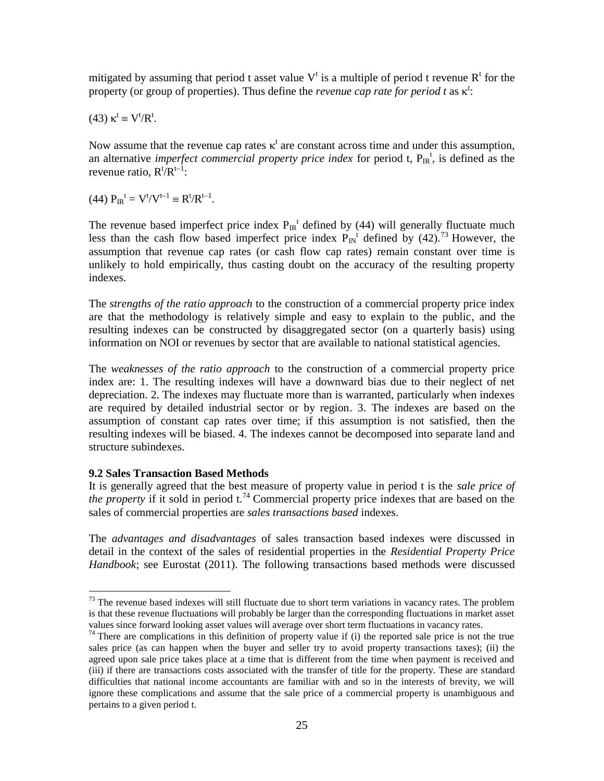mitigated by assuming that period t asset value  $V^t$  is a multiple of period t revenue  $R^t$  for the property (or group of properties). Thus define the *revenue cap rate for period t* as  $\kappa^t$ :

$$
(43) \ \kappa^t \equiv V^t / R^t.
$$

Now assume that the revenue cap rates  $\kappa^t$  are constant across time and under this assumption, an alternative *imperfect commercial property price index* for period t,  $P_{IR}^{\{t\}}$ , is defined as the revenue ratio,  $R^t/R^{t-1}$ :

(44)  $P_{IR}^{t} = V^{t}/V^{t-1} \equiv R^{t}/R^{t-1}$ .

The revenue based imperfect price index  $P_{IR}$ <sup>t</sup> defined by (44) will generally fluctuate much less than the cash flow based imperfect price index  $P_{IN}^t$  defined by (42).<sup>73</sup> However, the assumption that revenue cap rates (or cash flow cap rates) remain constant over time is unlikely to hold empirically, thus casting doubt on the accuracy of the resulting property indexes.

The *strengths of the ratio approach* to the construction of a commercial property price index are that the methodology is relatively simple and easy to explain to the public, and the resulting indexes can be constructed by disaggregated sector (on a quarterly basis) using information on NOI or revenues by sector that are available to national statistical agencies.

The *weaknesses of the ratio approach* to the construction of a commercial property price index are: 1. The resulting indexes will have a downward bias due to their neglect of net depreciation. 2. The indexes may fluctuate more than is warranted, particularly when indexes are required by detailed industrial sector or by region. 3. The indexes are based on the assumption of constant cap rates over time; if this assumption is not satisfied, then the resulting indexes will be biased. 4. The indexes cannot be decomposed into separate land and structure subindexes.

## **9.2 Sales Transaction Based Methods**

 $\overline{a}$ 

It is generally agreed that the best measure of property value in period t is the *sale price of the property* if it sold in period t.<sup>74</sup> Commercial property price indexes that are based on the sales of commercial properties are *sales transactions based* indexes.

The *advantages and disadvantages* of sales transaction based indexes were discussed in detail in the context of the sales of residential properties in the *Residential Property Price Handbook*; see Eurostat (2011). The following transactions based methods were discussed

 $73$  The revenue based indexes will still fluctuate due to short term variations in vacancy rates. The problem is that these revenue fluctuations will probably be larger than the corresponding fluctuations in market asset values since forward looking asset values will average over short term fluctuations in vacancy rates.

 $74$  There are complications in this definition of property value if (i) the reported sale price is not the true sales price (as can happen when the buyer and seller try to avoid property transactions taxes); (ii) the agreed upon sale price takes place at a time that is different from the time when payment is received and (iii) if there are transactions costs associated with the transfer of title for the property. These are standard difficulties that national income accountants are familiar with and so in the interests of brevity, we will ignore these complications and assume that the sale price of a commercial property is unambiguous and pertains to a given period t.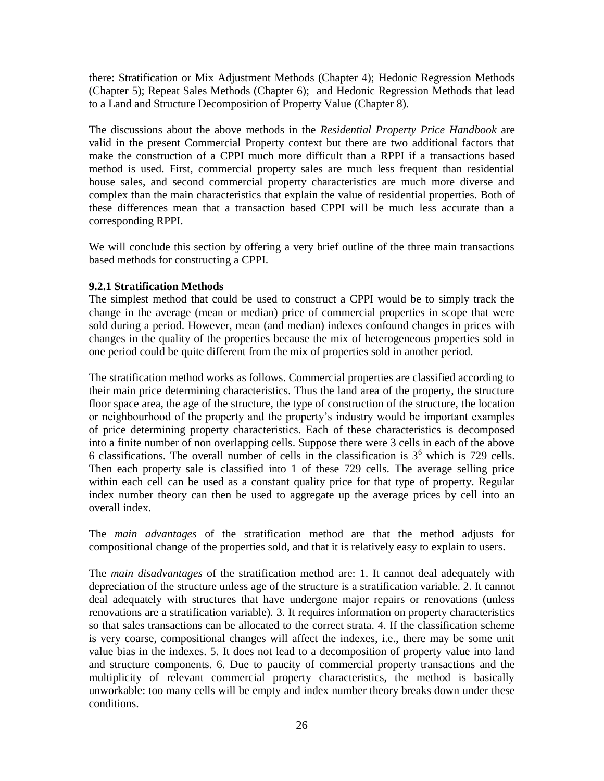there: Stratification or Mix Adjustment Methods (Chapter 4); Hedonic Regression Methods (Chapter 5); Repeat Sales Methods (Chapter 6); and Hedonic Regression Methods that lead to a Land and Structure Decomposition of Property Value (Chapter 8).

The discussions about the above methods in the *Residential Property Price Handbook* are valid in the present Commercial Property context but there are two additional factors that make the construction of a CPPI much more difficult than a RPPI if a transactions based method is used. First, commercial property sales are much less frequent than residential house sales, and second commercial property characteristics are much more diverse and complex than the main characteristics that explain the value of residential properties. Both of these differences mean that a transaction based CPPI will be much less accurate than a corresponding RPPI.

We will conclude this section by offering a very brief outline of the three main transactions based methods for constructing a CPPI.

# **9.2.1 Stratification Methods**

The simplest method that could be used to construct a CPPI would be to simply track the change in the average (mean or median) price of commercial properties in scope that were sold during a period. However, mean (and median) indexes confound changes in prices with changes in the quality of the properties because the mix of heterogeneous properties sold in one period could be quite different from the mix of properties sold in another period.

The stratification method works as follows. Commercial properties are classified according to their main price determining characteristics. Thus the land area of the property, the structure floor space area, the age of the structure, the type of construction of the structure, the location or neighbourhood of the property and the property's industry would be important examples of price determining property characteristics. Each of these characteristics is decomposed into a finite number of non overlapping cells. Suppose there were 3 cells in each of the above 6 classifications. The overall number of cells in the classification is  $3<sup>6</sup>$  which is 729 cells. Then each property sale is classified into 1 of these 729 cells. The average selling price within each cell can be used as a constant quality price for that type of property. Regular index number theory can then be used to aggregate up the average prices by cell into an overall index.

The *main advantages* of the stratification method are that the method adjusts for compositional change of the properties sold, and that it is relatively easy to explain to users.

The *main disadvantages* of the stratification method are: 1. It cannot deal adequately with depreciation of the structure unless age of the structure is a stratification variable. 2. It cannot deal adequately with structures that have undergone major repairs or renovations (unless renovations are a stratification variable). 3. It requires information on property characteristics so that sales transactions can be allocated to the correct strata. 4. If the classification scheme is very coarse, compositional changes will affect the indexes, i.e., there may be some unit value bias in the indexes. 5. It does not lead to a decomposition of property value into land and structure components. 6. Due to paucity of commercial property transactions and the multiplicity of relevant commercial property characteristics, the method is basically unworkable: too many cells will be empty and index number theory breaks down under these conditions.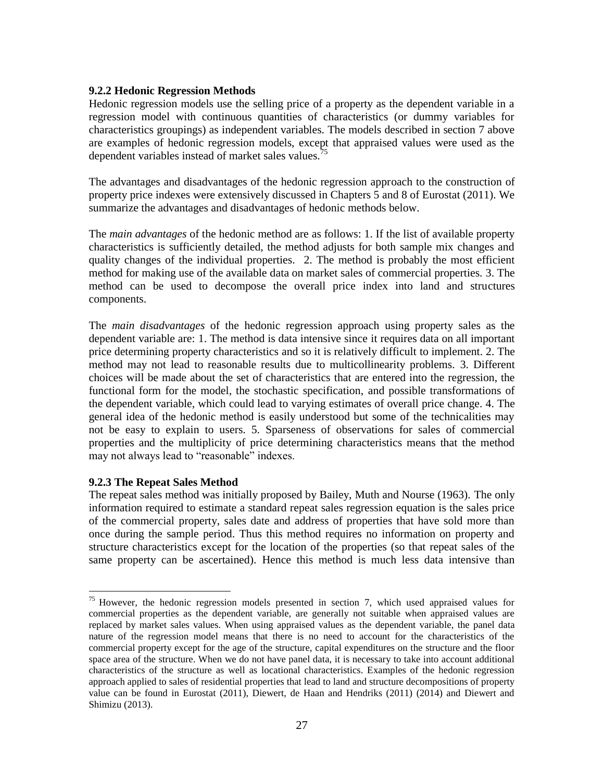### **9.2.2 Hedonic Regression Methods**

Hedonic regression models use the selling price of a property as the dependent variable in a regression model with continuous quantities of characteristics (or dummy variables for characteristics groupings) as independent variables. The models described in section 7 above are examples of hedonic regression models, except that appraised values were used as the dependent variables instead of market sales values.<sup>7</sup>

The advantages and disadvantages of the hedonic regression approach to the construction of property price indexes were extensively discussed in Chapters 5 and 8 of Eurostat (2011). We summarize the advantages and disadvantages of hedonic methods below.

The *main advantages* of the hedonic method are as follows: 1. If the list of available property characteristics is sufficiently detailed, the method adjusts for both sample mix changes and quality changes of the individual properties. 2. The method is probably the most efficient method for making use of the available data on market sales of commercial properties. 3. The method can be used to decompose the overall price index into land and structures components.

The *main disadvantages* of the hedonic regression approach using property sales as the dependent variable are: 1. The method is data intensive since it requires data on all important price determining property characteristics and so it is relatively difficult to implement. 2. The method may not lead to reasonable results due to multicollinearity problems. 3. Different choices will be made about the set of characteristics that are entered into the regression, the functional form for the model, the stochastic specification, and possible transformations of the dependent variable, which could lead to varying estimates of overall price change. 4. The general idea of the hedonic method is easily understood but some of the technicalities may not be easy to explain to users. 5. Sparseness of observations for sales of commercial properties and the multiplicity of price determining characteristics means that the method may not always lead to "reasonable" indexes.

## **9.2.3 The Repeat Sales Method**

 $\overline{a}$ 

The repeat sales method was initially proposed by Bailey, Muth and Nourse (1963). The only information required to estimate a standard repeat sales regression equation is the sales price of the commercial property, sales date and address of properties that have sold more than once during the sample period. Thus this method requires no information on property and structure characteristics except for the location of the properties (so that repeat sales of the same property can be ascertained). Hence this method is much less data intensive than

 $75$  However, the hedonic regression models presented in section 7, which used appraised values for commercial properties as the dependent variable, are generally not suitable when appraised values are replaced by market sales values. When using appraised values as the dependent variable, the panel data nature of the regression model means that there is no need to account for the characteristics of the commercial property except for the age of the structure, capital expenditures on the structure and the floor space area of the structure. When we do not have panel data, it is necessary to take into account additional characteristics of the structure as well as locational characteristics. Examples of the hedonic regression approach applied to sales of residential properties that lead to land and structure decompositions of property value can be found in Eurostat (2011), Diewert, de Haan and Hendriks (2011) (2014) and Diewert and Shimizu (2013).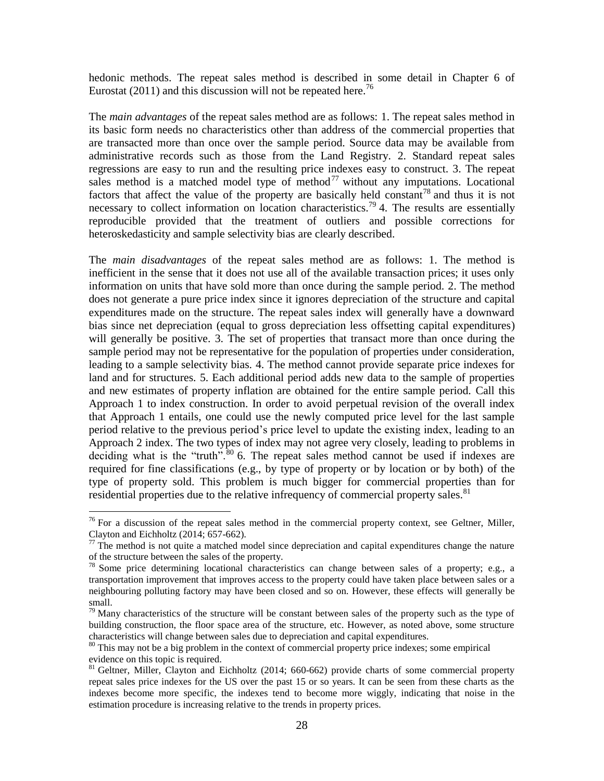hedonic methods. The repeat sales method is described in some detail in Chapter 6 of Eurostat (2011) and this discussion will not be repeated here.<sup>76</sup>

The *main advantages* of the repeat sales method are as follows: 1. The repeat sales method in its basic form needs no characteristics other than address of the commercial properties that are transacted more than once over the sample period. Source data may be available from administrative records such as those from the Land Registry. 2. Standard repeat sales regressions are easy to run and the resulting price indexes easy to construct. 3. The repeat sales method is a matched model type of method<sup> $77$ </sup> without any imputations. Locational factors that affect the value of the property are basically held constant<sup>78</sup> and thus it is not necessary to collect information on location characteristics.<sup>79</sup> 4. The results are essentially reproducible provided that the treatment of outliers and possible corrections for heteroskedasticity and sample selectivity bias are clearly described.

The *main disadvantages* of the repeat sales method are as follows: 1. The method is inefficient in the sense that it does not use all of the available transaction prices; it uses only information on units that have sold more than once during the sample period. 2. The method does not generate a pure price index since it ignores depreciation of the structure and capital expenditures made on the structure. The repeat sales index will generally have a downward bias since net depreciation (equal to gross depreciation less offsetting capital expenditures) will generally be positive. 3. The set of properties that transact more than once during the sample period may not be representative for the population of properties under consideration, leading to a sample selectivity bias. 4. The method cannot provide separate price indexes for land and for structures. 5. Each additional period adds new data to the sample of properties and new estimates of property inflation are obtained for the entire sample period. Call this Approach 1 to index construction. In order to avoid perpetual revision of the overall index that Approach 1 entails, one could use the newly computed price level for the last sample period relative to the previous period's price level to update the existing index, leading to an Approach 2 index. The two types of index may not agree very closely, leading to problems in deciding what is the "truth". $80\,$  6. The repeat sales method cannot be used if indexes are required for fine classifications (e.g., by type of property or by location or by both) of the type of property sold. This problem is much bigger for commercial properties than for residential properties due to the relative infrequency of commercial property sales.<sup>81</sup>

 $76$  For a discussion of the repeat sales method in the commercial property context, see Geltner, Miller, Clayton and Eichholtz (2014; 657-662).

 $77$  The method is not quite a matched model since depreciation and capital expenditures change the nature of the structure between the sales of the property.

<sup>&</sup>lt;sup>78</sup> Some price determining locational characteristics can change between sales of a property; e.g., a transportation improvement that improves access to the property could have taken place between sales or a neighbouring polluting factory may have been closed and so on. However, these effects will generally be small.

 $79$  Many characteristics of the structure will be constant between sales of the property such as the type of building construction, the floor space area of the structure, etc. However, as noted above, some structure characteristics will change between sales due to depreciation and capital expenditures.

<sup>&</sup>lt;sup>80</sup> This may not be a big problem in the context of commercial property price indexes; some empirical evidence on this topic is required.

 $81$  Geltner, Miller, Clayton and Eichholtz (2014; 660-662) provide charts of some commercial property repeat sales price indexes for the US over the past 15 or so years. It can be seen from these charts as the indexes become more specific, the indexes tend to become more wiggly, indicating that noise in the estimation procedure is increasing relative to the trends in property prices.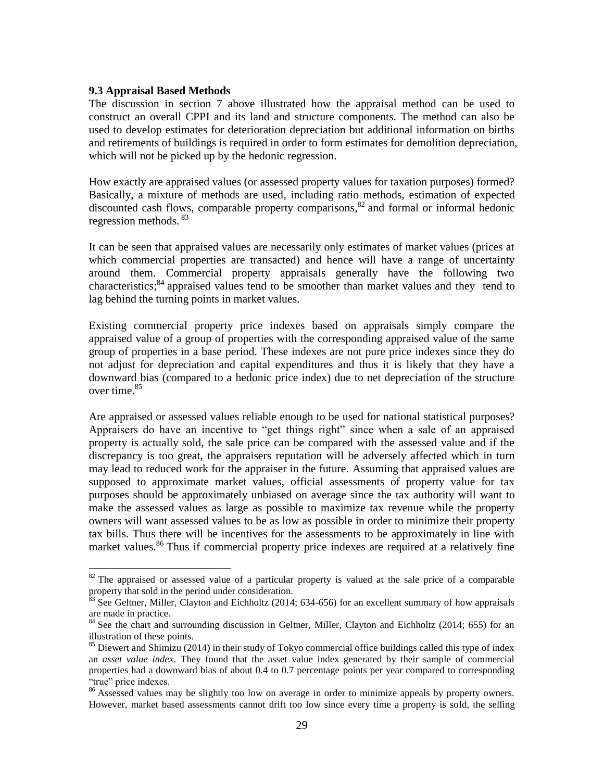#### **9.3 Appraisal Based Methods**

 $\overline{a}$ 

The discussion in section 7 above illustrated how the appraisal method can be used to construct an overall CPPI and its land and structure components. The method can also be used to develop estimates for deterioration depreciation but additional information on births and retirements of buildings is required in order to form estimates for demolition depreciation, which will not be picked up by the hedonic regression.

How exactly are appraised values (or assessed property values for taxation purposes) formed? Basically, a mixture of methods are used, including ratio methods, estimation of expected discounted cash flows, comparable property comparisons,<sup>82</sup> and formal or informal hedonic regression methods. <sup>83</sup>

It can be seen that appraised values are necessarily only estimates of market values (prices at which commercial properties are transacted) and hence will have a range of uncertainty around them. Commercial property appraisals generally have the following two characteristics; <sup>84</sup> appraised values tend to be smoother than market values and they tend to lag behind the turning points in market values.

Existing commercial property price indexes based on appraisals simply compare the appraised value of a group of properties with the corresponding appraised value of the same group of properties in a base period. These indexes are not pure price indexes since they do not adjust for depreciation and capital expenditures and thus it is likely that they have a downward bias (compared to a hedonic price index) due to net depreciation of the structure over time.<sup>85</sup>

Are appraised or assessed values reliable enough to be used for national statistical purposes? Appraisers do have an incentive to "get things right" since when a sale of an appraised property is actually sold, the sale price can be compared with the assessed value and if the discrepancy is too great, the appraisers reputation will be adversely affected which in turn may lead to reduced work for the appraiser in the future. Assuming that appraised values are supposed to approximate market values, official assessments of property value for tax purposes should be approximately unbiased on average since the tax authority will want to make the assessed values as large as possible to maximize tax revenue while the property owners will want assessed values to be as low as possible in order to minimize their property tax bills. Thus there will be incentives for the assessments to be approximately in line with market values.<sup>86</sup> Thus if commercial property price indexes are required at a relatively fine

 $82$  The appraised or assessed value of a particular property is valued at the sale price of a comparable property that sold in the period under consideration.

 $\frac{83}{3}$  See Geltner, Miller, Clayton and Eichholtz (2014; 634-656) for an excellent summary of how appraisals are made in practice.

<sup>&</sup>lt;sup>84</sup> See the chart and surrounding discussion in Geltner, Miller, Clayton and Eichholtz (2014; 655) for an illustration of these points.

<sup>&</sup>lt;sup>85</sup> Diewert and Shimizu (2014) in their study of Tokyo commercial office buildings called this type of index an *asset value index*. They found that the asset value index generated by their sample of commercial properties had a downward bias of about 0.4 to 0.7 percentage points per year compared to corresponding "true" price indexes.

<sup>&</sup>lt;sup>86</sup> Assessed values may be slightly too low on average in order to minimize appeals by property owners. However, market based assessments cannot drift too low since every time a property is sold, the selling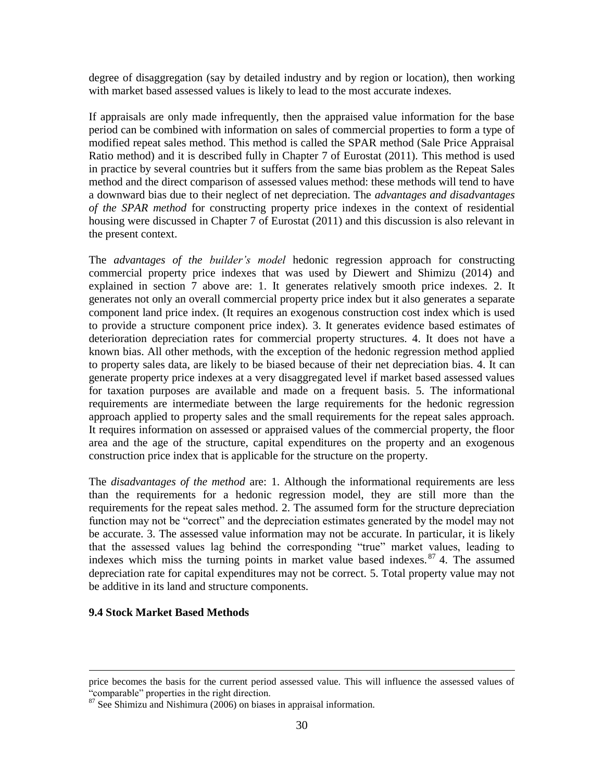degree of disaggregation (say by detailed industry and by region or location), then working with market based assessed values is likely to lead to the most accurate indexes.

If appraisals are only made infrequently, then the appraised value information for the base period can be combined with information on sales of commercial properties to form a type of modified repeat sales method. This method is called the SPAR method (Sale Price Appraisal Ratio method) and it is described fully in Chapter 7 of Eurostat (2011). This method is used in practice by several countries but it suffers from the same bias problem as the Repeat Sales method and the direct comparison of assessed values method: these methods will tend to have a downward bias due to their neglect of net depreciation. The *advantages and disadvantages of the SPAR method* for constructing property price indexes in the context of residential housing were discussed in Chapter 7 of Eurostat (2011) and this discussion is also relevant in the present context.

The *advantages of the builder's model* hedonic regression approach for constructing commercial property price indexes that was used by Diewert and Shimizu (2014) and explained in section 7 above are: 1. It generates relatively smooth price indexes. 2. It generates not only an overall commercial property price index but it also generates a separate component land price index. (It requires an exogenous construction cost index which is used to provide a structure component price index). 3. It generates evidence based estimates of deterioration depreciation rates for commercial property structures. 4. It does not have a known bias. All other methods, with the exception of the hedonic regression method applied to property sales data, are likely to be biased because of their net depreciation bias. 4. It can generate property price indexes at a very disaggregated level if market based assessed values for taxation purposes are available and made on a frequent basis. 5. The informational requirements are intermediate between the large requirements for the hedonic regression approach applied to property sales and the small requirements for the repeat sales approach. It requires information on assessed or appraised values of the commercial property, the floor area and the age of the structure, capital expenditures on the property and an exogenous construction price index that is applicable for the structure on the property.

The *disadvantages of the method* are: 1. Although the informational requirements are less than the requirements for a hedonic regression model, they are still more than the requirements for the repeat sales method. 2. The assumed form for the structure depreciation function may not be "correct" and the depreciation estimates generated by the model may not be accurate. 3. The assessed value information may not be accurate. In particular, it is likely that the assessed values lag behind the corresponding "true" market values, leading to indexes which miss the turning points in market value based indexes.  $87$  4. The assumed depreciation rate for capital expenditures may not be correct. 5. Total property value may not be additive in its land and structure components.

## **9.4 Stock Market Based Methods**

price becomes the basis for the current period assessed value. This will influence the assessed values of "comparable" properties in the right direction.

<sup>&</sup>lt;sup>87</sup> See Shimizu and Nishimura (2006) on biases in appraisal information.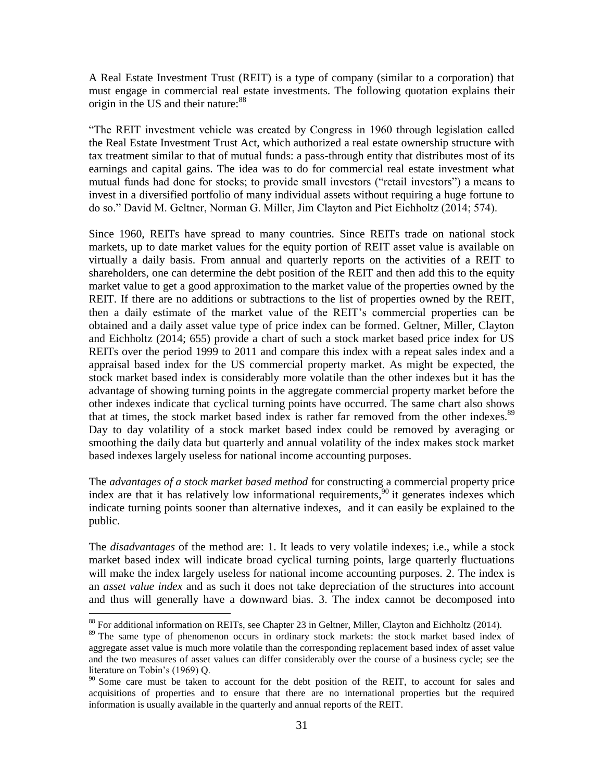A Real Estate Investment Trust (REIT) is a type of company (similar to a corporation) that must engage in commercial real estate investments. The following quotation explains their origin in the US and their nature:  $88$ 

"The REIT investment vehicle was created by Congress in 1960 through legislation called the Real Estate Investment Trust Act, which authorized a real estate ownership structure with tax treatment similar to that of mutual funds: a pass-through entity that distributes most of its earnings and capital gains. The idea was to do for commercial real estate investment what mutual funds had done for stocks; to provide small investors ("retail investors") a means to invest in a diversified portfolio of many individual assets without requiring a huge fortune to do so." David M. Geltner, Norman G. Miller, Jim Clayton and Piet Eichholtz (2014; 574).

Since 1960, REITs have spread to many countries. Since REITs trade on national stock markets, up to date market values for the equity portion of REIT asset value is available on virtually a daily basis. From annual and quarterly reports on the activities of a REIT to shareholders, one can determine the debt position of the REIT and then add this to the equity market value to get a good approximation to the market value of the properties owned by the REIT. If there are no additions or subtractions to the list of properties owned by the REIT, then a daily estimate of the market value of the REIT's commercial properties can be obtained and a daily asset value type of price index can be formed. Geltner, Miller, Clayton and Eichholtz (2014; 655) provide a chart of such a stock market based price index for US REITs over the period 1999 to 2011 and compare this index with a repeat sales index and a appraisal based index for the US commercial property market. As might be expected, the stock market based index is considerably more volatile than the other indexes but it has the advantage of showing turning points in the aggregate commercial property market before the other indexes indicate that cyclical turning points have occurred. The same chart also shows that at times, the stock market based index is rather far removed from the other indexes.<sup>89</sup> Day to day volatility of a stock market based index could be removed by averaging or smoothing the daily data but quarterly and annual volatility of the index makes stock market based indexes largely useless for national income accounting purposes.

The *advantages of a stock market based method* for constructing a commercial property price index are that it has relatively low informational requirements,<sup>90</sup> it generates indexes which indicate turning points sooner than alternative indexes, and it can easily be explained to the public.

The *disadvantages* of the method are: 1. It leads to very volatile indexes; i.e., while a stock market based index will indicate broad cyclical turning points, large quarterly fluctuations will make the index largely useless for national income accounting purposes. 2. The index is an *asset value index* and as such it does not take depreciation of the structures into account and thus will generally have a downward bias. 3. The index cannot be decomposed into

<sup>&</sup>lt;sup>88</sup> For additional information on REITs, see Chapter 23 in Geltner, Miller, Clayton and Eichholtz (2014).

<sup>&</sup>lt;sup>89</sup> The same type of phenomenon occurs in ordinary stock markets: the stock market based index of aggregate asset value is much more volatile than the corresponding replacement based index of asset value and the two measures of asset values can differ considerably over the course of a business cycle; see the literature on Tobin's (1969) Q.

<sup>&</sup>lt;sup>90</sup> Some care must be taken to account for the debt position of the REIT, to account for sales and acquisitions of properties and to ensure that there are no international properties but the required information is usually available in the quarterly and annual reports of the REIT.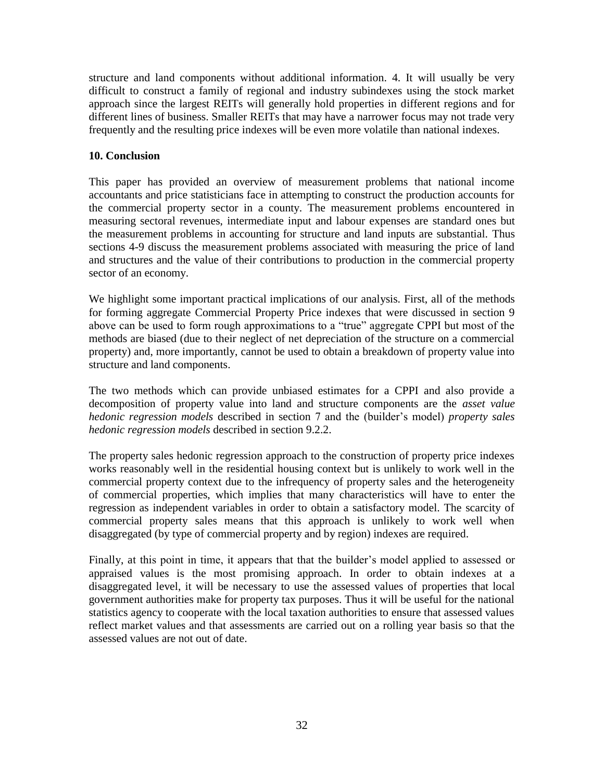structure and land components without additional information. 4. It will usually be very difficult to construct a family of regional and industry subindexes using the stock market approach since the largest REITs will generally hold properties in different regions and for different lines of business. Smaller REITs that may have a narrower focus may not trade very frequently and the resulting price indexes will be even more volatile than national indexes.

# **10. Conclusion**

This paper has provided an overview of measurement problems that national income accountants and price statisticians face in attempting to construct the production accounts for the commercial property sector in a county. The measurement problems encountered in measuring sectoral revenues, intermediate input and labour expenses are standard ones but the measurement problems in accounting for structure and land inputs are substantial. Thus sections 4-9 discuss the measurement problems associated with measuring the price of land and structures and the value of their contributions to production in the commercial property sector of an economy.

We highlight some important practical implications of our analysis. First, all of the methods for forming aggregate Commercial Property Price indexes that were discussed in section 9 above can be used to form rough approximations to a "true" aggregate CPPI but most of the methods are biased (due to their neglect of net depreciation of the structure on a commercial property) and, more importantly, cannot be used to obtain a breakdown of property value into structure and land components.

The two methods which can provide unbiased estimates for a CPPI and also provide a decomposition of property value into land and structure components are the *asset value hedonic regression models* described in section 7 and the (builder's model) *property sales hedonic regression models* described in section 9.2.2.

The property sales hedonic regression approach to the construction of property price indexes works reasonably well in the residential housing context but is unlikely to work well in the commercial property context due to the infrequency of property sales and the heterogeneity of commercial properties, which implies that many characteristics will have to enter the regression as independent variables in order to obtain a satisfactory model. The scarcity of commercial property sales means that this approach is unlikely to work well when disaggregated (by type of commercial property and by region) indexes are required.

Finally, at this point in time, it appears that that the builder's model applied to assessed or appraised values is the most promising approach. In order to obtain indexes at a disaggregated level, it will be necessary to use the assessed values of properties that local government authorities make for property tax purposes. Thus it will be useful for the national statistics agency to cooperate with the local taxation authorities to ensure that assessed values reflect market values and that assessments are carried out on a rolling year basis so that the assessed values are not out of date.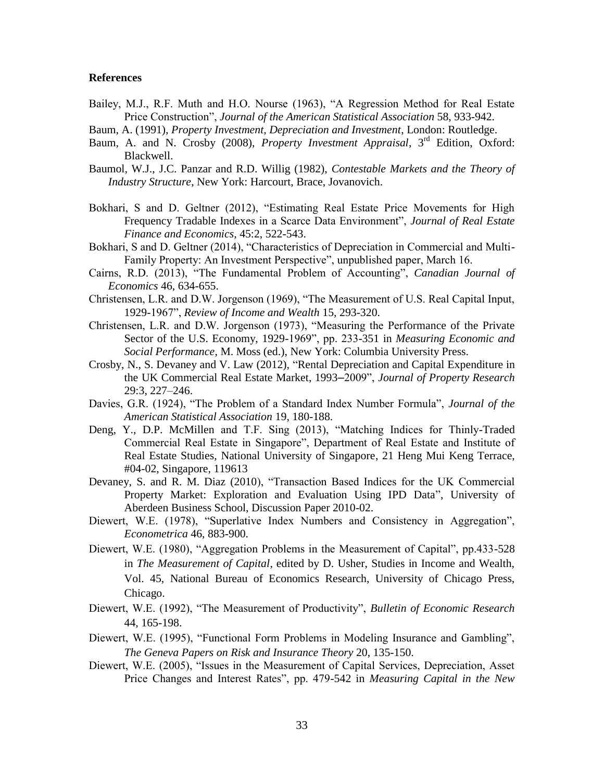#### **References**

- Bailey, M.J., R.F. Muth and H.O. Nourse (1963), "A Regression Method for Real Estate Price Construction", *Journal of the American Statistical Association* 58, 933-942.
- Baum, A. (1991), *Property Investment, Depreciation and Investment*, London: Routledge.
- Baum, A. and N. Crosby (2008), *Property Investment Appraisal*, 3rd Edition, Oxford: Blackwell.
- Baumol, W.J., J.C. Panzar and R.D. Willig (1982), *Contestable Markets and the Theory of Industry Structure*, New York: Harcourt, Brace, Jovanovich.
- Bokhari, S and D. Geltner (2012), "Estimating Real Estate Price Movements for High Frequency Tradable Indexes in a Scarce Data Environment", *Journal of Real Estate Finance and Economics*, 45:2, 522-543.
- Bokhari, S and D. Geltner (2014), "Characteristics of Depreciation in Commercial and Multi-Family Property: An Investment Perspective", unpublished paper, March 16.
- Cairns, R.D. (2013), "The Fundamental Problem of Accounting", *Canadian Journal of Economics* 46, 634-655.
- Christensen, L.R. and D.W. Jorgenson (1969), "The Measurement of U.S. Real Capital Input, 1929-1967", *Review of Income and Wealth* 15, 293-320.
- Christensen, L.R. and D.W. Jorgenson (1973), "Measuring the Performance of the Private Sector of the U.S. Economy, 1929-1969", pp. 233-351 in *Measuring Economic and Social Performance*, M. Moss (ed.), New York: Columbia University Press.
- Crosby, N., S. Devaney and V. Law (2012), "Rental Depreciation and Capital Expenditure in the UK Commercial Real Estate Market, 1993–2009", *Journal of Property Research* 29:3, 227–246.
- Davies, G.R. (1924), "The Problem of a Standard Index Number Formula", *Journal of the American Statistical Association* 19, 180-188.
- Deng, Y., D.P. McMillen and T.F. Sing (2013), "Matching Indices for Thinly-Traded Commercial Real Estate in Singapore", Department of Real Estate and Institute of Real Estate Studies, National University of Singapore, 21 Heng Mui Keng Terrace, #04-02, Singapore, 119613
- Devaney, S. and R. M. Diaz (2010), "Transaction Based Indices for the UK Commercial Property Market: Exploration and Evaluation Using IPD Data", University of Aberdeen Business School, Discussion Paper 2010-02.
- Diewert, W.E. (1978), "Superlative Index Numbers and Consistency in Aggregation", *Econometrica* 46, 883-900.
- Diewert, W.E. (1980), "Aggregation Problems in the Measurement of Capital", pp.433-528 in *The Measurement of Capital*, edited by D. Usher, Studies in Income and Wealth, Vol. 45, National Bureau of Economics Research, University of Chicago Press, Chicago.
- Diewert, W.E. (1992), "The Measurement of Productivity", *Bulletin of Economic Research* 44, 165-198.
- Diewert, W.E. (1995), "Functional Form Problems in Modeling Insurance and Gambling", *The Geneva Papers on Risk and Insurance Theory* 20, 135-150.
- Diewert, W.E. (2005), "Issues in the Measurement of Capital Services, Depreciation, Asset Price Changes and Interest Rates", pp. 479-542 in *Measuring Capital in the New*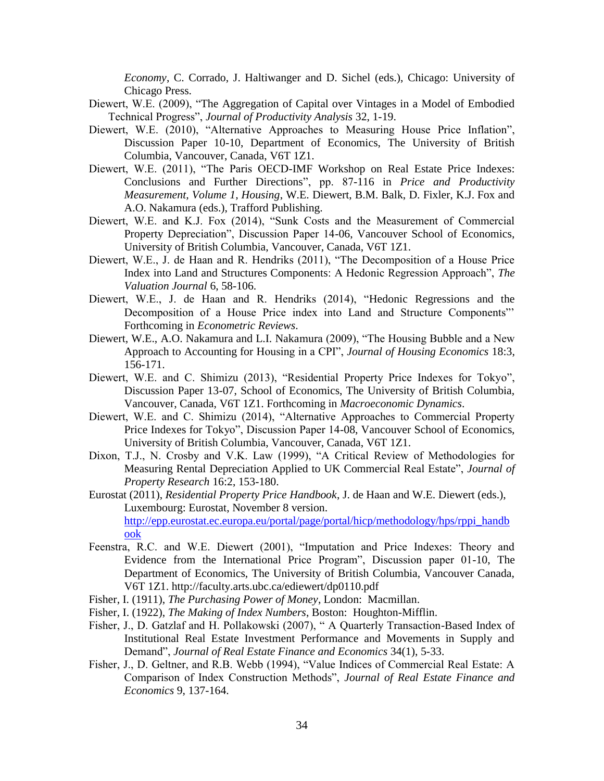*Economy*, C. Corrado, J. Haltiwanger and D. Sichel (eds.), Chicago: University of Chicago Press.

- Diewert, W.E. (2009), "The Aggregation of Capital over Vintages in a Model of Embodied Technical Progress", *Journal of Productivity Analysis* 32, 1-19.
- Diewert, W.E. (2010), "Alternative Approaches to Measuring House Price Inflation", Discussion Paper 10-10, Department of Economics, The University of British Columbia, Vancouver, Canada, V6T 1Z1.
- Diewert, W.E. (2011), "The Paris OECD-IMF Workshop on Real Estate Price Indexes: Conclusions and Further Directions", pp. 87-116 in *Price and Productivity Measurement, Volume 1, Housing*, W.E. Diewert, B.M. Balk, D. Fixler, K.J. Fox and A.O. Nakamura (eds.), Trafford Publishing.
- Diewert, W.E. and K.J. Fox (2014), "Sunk Costs and the Measurement of Commercial Property Depreciation", Discussion Paper 14-06, Vancouver School of Economics, University of British Columbia, Vancouver, Canada, V6T 1Z1.
- Diewert, W.E., J. de Haan and R. Hendriks (2011), "The Decomposition of a House Price Index into Land and Structures Components: A Hedonic Regression Approach", *The Valuation Journal* 6, 58-106.
- Diewert, W.E., J. de Haan and R. Hendriks (2014), "Hedonic Regressions and the Decomposition of a House Price index into Land and Structure Components"' Forthcoming in *Econometric Reviews*.
- Diewert, W.E., A.O. Nakamura and L.I. Nakamura (2009), "The Housing Bubble and a New Approach to Accounting for Housing in a CPI", *Journal of Housing Economics* 18:3, 156-171.
- Diewert, W.E. and C. Shimizu (2013), "Residential Property Price Indexes for Tokyo", Discussion Paper 13-07, School of Economics, The University of British Columbia, Vancouver, Canada, V6T 1Z1. Forthcoming in *Macroeconomic Dynamics*.
- Diewert, W.E. and C. Shimizu (2014), "Alternative Approaches to Commercial Property Price Indexes for Tokyo", Discussion Paper 14-08, Vancouver School of Economics, University of British Columbia, Vancouver, Canada, V6T 1Z1.
- Dixon, T.J., N. Crosby and V.K. Law (1999), "A Critical Review of Methodologies for Measuring Rental Depreciation Applied to UK Commercial Real Estate", *Journal of Property Research* 16:2, 153-180.
- Eurostat (2011), *Residential Property Price Handbook*, J. de Haan and W.E. Diewert (eds.), Luxembourg: Eurostat, November 8 version. [http://epp.eurostat.ec.europa.eu/portal/page/portal/hicp/methodology/hps/rppi\\_handb](http://epp.eurostat.ec.europa.eu/portal/page/portal/hicp/methodology/hps/rppi_handbook) [ook](http://epp.eurostat.ec.europa.eu/portal/page/portal/hicp/methodology/hps/rppi_handbook)
- Feenstra, R.C. and W.E. Diewert (2001), "Imputation and Price Indexes: Theory and Evidence from the International Price Program", Discussion paper 01-10, The Department of Economics, The University of British Columbia, Vancouver Canada, V6T 1Z1. http://faculty.arts.ubc.ca/ediewert/dp0110.pdf
- Fisher, I. (1911), *The Purchasing Power of Money*, London: Macmillan.
- Fisher, I. (1922), *The Making of Index Numbers*, Boston: Houghton-Mifflin.
- Fisher, J., D. Gatzlaf and H. Pollakowski (2007), " A Quarterly Transaction-Based Index of Institutional Real Estate Investment Performance and Movements in Supply and Demand", *Journal of Real Estate Finance and Economics* 34(1), 5-33.
- Fisher, J., D. Geltner, and R.B. Webb (1994), "Value Indices of Commercial Real Estate: A Comparison of Index Construction Methods", *Journal of Real Estate Finance and Economics* 9, 137-164.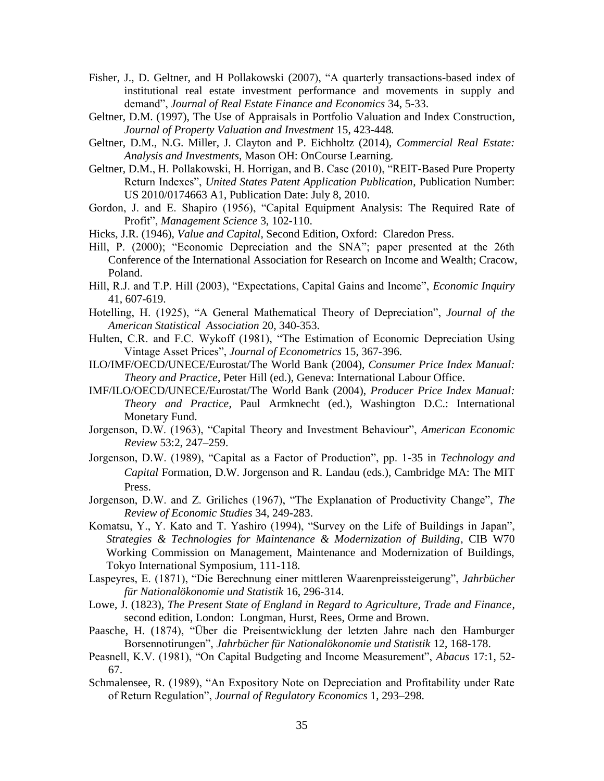- Fisher, J., D. Geltner, and H Pollakowski (2007), "A quarterly transactions-based index of institutional real estate investment performance and movements in supply and demand", *Journal of Real Estate Finance and Economics* 34, 5-33.
- Geltner, D.M. (1997), The Use of Appraisals in Portfolio Valuation and Index Construction*, Journal of Property Valuation and Investment* 15, 423*-*448*.*
- Geltner, D.M., N.G. Miller, J. Clayton and P. Eichholtz (2014), *Commercial Real Estate: Analysis and Investments*, Mason OH: OnCourse Learning.
- Geltner, D.M., H. Pollakowski, H. Horrigan, and B. Case (2010), "REIT-Based Pure Property Return Indexes", *United States Patent Application Publication*, Publication Number: US 2010/0174663 A1, Publication Date: July 8, 2010.
- Gordon, J. and E. Shapiro (1956), "Capital Equipment Analysis: The Required Rate of Profit", *Management Science* 3, 102-110.
- Hicks, J.R. (1946), *Value and Capital*, Second Edition, Oxford: Claredon Press.
- Hill, P. (2000); "Economic Depreciation and the SNA"; paper presented at the 26th Conference of the International Association for Research on Income and Wealth; Cracow, Poland.
- Hill, R.J. and T.P. Hill (2003), "Expectations, Capital Gains and Income", *Economic Inquiry* 41, 607-619.
- Hotelling, H. (1925), "A General Mathematical Theory of Depreciation", *Journal of the American Statistical Association* 20, 340-353.
- Hulten, C.R. and F.C. Wykoff (1981), "The Estimation of Economic Depreciation Using Vintage Asset Prices", *Journal of Econometrics* 15, 367-396.
- ILO/IMF/OECD/UNECE/Eurostat/The World Bank (2004), *Consumer Price Index Manual: Theory and Practice*, Peter Hill (ed.), Geneva: International Labour Office.
- IMF/ILO/OECD/UNECE/Eurostat/The World Bank (2004), *Producer Price Index Manual: Theory and Practice*, Paul Armknecht (ed.), Washington D.C.: International Monetary Fund.
- Jorgenson, D.W. (1963), "Capital Theory and Investment Behaviour", *American Economic Review* 53:2, 247–259.
- Jorgenson, D.W. (1989), "Capital as a Factor of Production", pp. 1-35 in *Technology and Capital* Formation, D.W. Jorgenson and R. Landau (eds.), Cambridge MA: The MIT Press.
- Jorgenson, D.W. and Z. Griliches (1967), "The Explanation of Productivity Change", *The Review of Economic Studies* 34, 249-283.
- Komatsu, Y., Y. Kato and T. Yashiro (1994), "Survey on the Life of Buildings in Japan", *Strategies & Technologies for Maintenance & Modernization of Building*, CIB W70 Working Commission on Management, Maintenance and Modernization of Buildings, Tokyo International Symposium, 111-118.
- Laspeyres, E. (1871), "Die Berechnung einer mittleren Waarenpreissteigerung", *Jahrbücher für Nationalökonomie und Statistik* 16, 296-314.
- Lowe, J. (1823), *The Present State of England in Regard to Agriculture, Trade and Finance*, second edition, London: Longman, Hurst, Rees, Orme and Brown.
- Paasche, H. (1874), "Über die Preisentwicklung der letzten Jahre nach den Hamburger Borsennotirungen", *Jahrbücher für Nationalökonomie und Statistik* 12, 168-178.
- Peasnell, K.V. (1981), "On Capital Budgeting and Income Measurement", *Abacus* 17:1, 52- 67.
- Schmalensee, R. (1989), "An Expository Note on Depreciation and Profitability under Rate of Return Regulation", *Journal of Regulatory Economics* 1, 293–298.